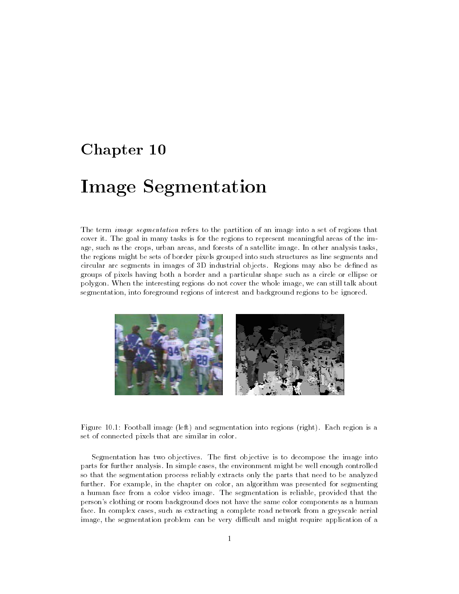# Chapter 10

# Image Segmentation

The term image segmentation refers to the partition of an image into a set of regions that cover it. The goal in many tasks is for the regions to represent meaningful areas of the image, such as the crops, urban areas, and forests of a satellite image. In other analysis tasks, the regions might be sets of border pixels grouped into such structures as line segments and circular arc segments in images of 3D industrial objects. Regions may also be dened as groups of pixels having both a border and a particular shape such as a circle or ellipse or polygon. When the interesting regions do not cover the whole image, we can still talk about segmentation, into foreground regions of interest and background regions to be ignored.



Figure 10.1: Football image (left) and segmentation into regions (right). Each region is a set of connected pixels that are similar in color.

Segmentation has two objectives. The first objective is to decompose the image into parts for further analysis. In simple cases, the environment might be well enough controlled so that the segmentation process reliably extracts only the parts that need to be analyzed further. For example, in the chapter on color, an algorithm was presented for segmenting a human face from a color video image. The segmentation is reliable, provided that the person's clothing or room background does not have the same color components as a human face. In complex cases, such as extracting a complete road network from a greyscale aerial image, the segmentation problem can be very difficult and might require application of a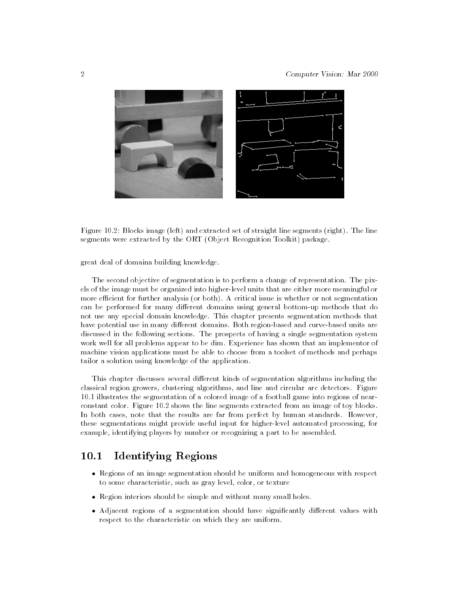

Figure 10.2: Blocks image (left) and extracted set of straight line segments (right). The line segments were extracted by the ORT (Object Recognition Toolkit) package.

great deal of domaina building knowledge.

The second objective of segmentation is to perform a change of representation. The pixels of the image must be organized into higher-level units that are either more meaningful or more efficient for further analysis (or both). A critical issue is whether or not segmentation can be performed for many different domains using general bottom-up methods that do not use any special domain knowledge. This chapter presents segmentation methods that have potential use in many different domains. Both region-based and curve-based units are discussed in the following sections. The prospects of having a single segmentation system work well for all problems appear to be dim. Experience has shown that an implementor of machine vision applications must be able to choose from a toolset of methods and perhaps tailor a solution using knowledge of the application.

This chapter discusses several different kinds of segmentation algorithms including the classical region growers, clustering algorithms, and line and circular arc detectors. Figure 10.1 illustrates the segmentation of a colored image of a football game into regions of nearconstant color. Figure 10.2 shows the line segments extracted from an image of toy blocks. In both cases, note that the results are far from perfect by human standards. However, these segmentations might provide useful input for higher-level automated processing, for example, identifying players by number or recognizing a part to be assembled.

#### 10.1Identifying Regions

- Regions of an image segmentation should be uniform and homogeneous with respect to some characteristic, such as gray level, color, or texture
- $\mathcal{L}_{\mathcal{D}}$
- regions of a segmentation should have significantly different values with  $\frac{1}{2}$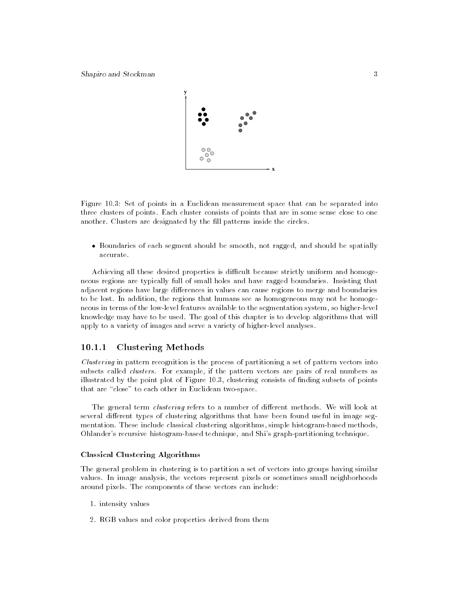

Figure 10.3: Set of points in a Euclidean measurement space that can be separated into three clusters of points. Each cluster consists of points that are in some sense close to one another. Clusters are designated by the fill patterns inside the circles.

 Boundaries of each segment should be smooth, not ragged, and should be spatially accurate.

Achieving all these desired properties is difficult because strictly uniform and homogeneous regions are typically full of small holes and have ragged boundaries. Insisting that adjacent regions have large differences in values can cause regions to merge and boundaries to be lost. In addition, the regions that humans see as homogeneous may not be homogeneous in terms of the low-level features available to the segmentation system, so higher-level knowledge may have to be used. The goal of this chapter is to develop algorithms that will apply to a variety of images and serve a variety of higher-level analyses.

# 10.1.1 Clustering Methods

Clustering in pattern recognition is the process of partitioning a set of pattern vectors into subsets called *clusters*. For example, if the pattern vectors are pairs of real numbers as illustrated by the point plot of Figure 10.3, clustering consists of nding subsets of points that are "close" to each other in Euclidean two-space.

The general term *clustering* refers to a number of different methods. We will look at several different types of clustering algorithms that have been found useful in image segmentation. These include classical clustering algorithms, simple histogram-based methods, Ohlander's recursive histogram-based technique, and Shi's graph-partitioning technique.

# Classical Clustering Algorithms

The general problem in clustering is to partition a set of vectors into groups having similar values. In image analysis, the vectors represent pixels or sometimes small neighborhoods around pixels. The components of these vectors can include:

- 1. intensity values
- 2. RGB values and color properties derived from them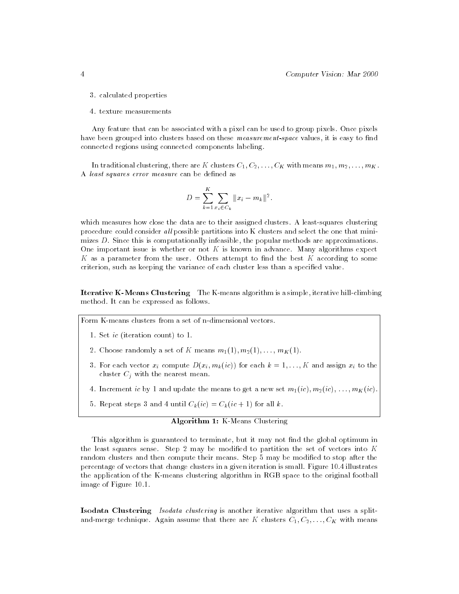- 3. calculated properties
- 4. texture measurements

Any feature that can be associated with a pixel can be used to group pixels. Once pixels have been grouped into clusters based on these *measurement-space* values, it is easy to find connected regions using connected components labeling.

In traditional clustering, there are K clusters  $C_1, C_2, \ldots, C_K$  with means  $m_1, m_2, \ldots, m_K$ . A least squares error measure can be defined as

$$
D = \sum_{k=1}^{K} \sum_{x_i \in C_k} ||x_i - m_k||^2.
$$

which measures how close the data are to their assigned clusters. A least-squares clustering procedure could consider all possible partitions into K clusters and select the one that minimizes D. Since this is computationally infeasible, the popular methods are approximations. One important issue is whether or not  $K$  is known in advance. Many algorithms expect  $K$  as a parameter from the user. Others attempt to find the best  $K$  according to some criterion, such as keeping the variance of each cluster less than a specied value.

Iterative K-Means Clustering The K-means algorithm is a simple, iterative hill-climbing method. It can be expressed as follows.

Form K-means clusters from a set of n-dimensional vectors.

- 1. Set ic (iteration count) to 1.
- 2. Choose randomly a set of K means  $m_1(1), m_2(1), \ldots, m_K(1)$ .
- 3. For each vector  $x_i$  compute  $D(x_i, m_k(ic))$  for each  $k = 1, \ldots, K$  and assign  $x_i$  to the cluster  $C_i$  with the nearest mean.
- 4. Increment ic by 1 and update the means to get a new set  $m_1(ic), m_2(ic), \ldots, m_K(ic)$ .
- 5. Repeat steps 3 and 4 until  $C_k(ic) = C_k(ic + 1)$  for all k.

# Algorithm 1: K-Means Clustering

This algorithm is guaranteed to terminate, but it may not find the global optimum in the least squares sense. Step 2 may be modified to partition the set of vectors into  $K$ random clusters and then compute their means. Step 5 may be modied to stop after the percentage of vectors that change clusters in a given iteration is small. Figure 10.4 illustrates the application of the K-means clustering algorithm in RGB space to the original football image of Figure 10.1.

Isodata Clustering Isodata clustering is another iterative algorithm that uses a splitand-merge technique. Again assume that there are K clusters  $C_1, C_2, \ldots, C_K$  with means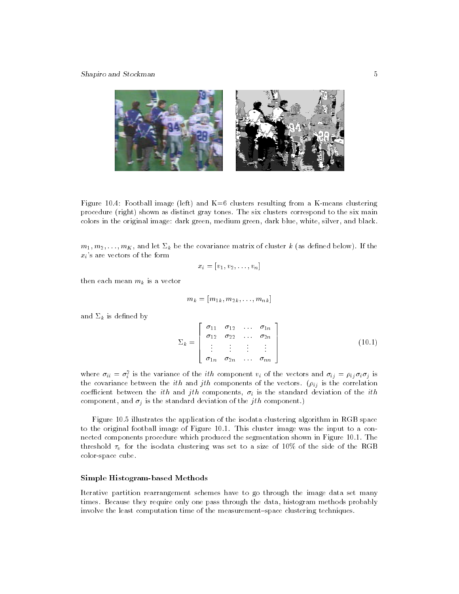

Figure 10.4: Football image (left) and  $K=6$  clusters resulting from a K-means clustering procedure (right) shown as distinct gray tones. The six clusters correspond to the six main colors in the original image: dark green, medium green, dark blue, white, silver, and black.

 $m_1, m_2, \ldots, m_K$ , and let  $\Sigma_k$  be the covariance matrix of cluster k (as defined below). If the  $x_i$ 's are vectors of the form

$$
x_i = [v_1, v_2, \ldots, v_n]
$$

then each mean  $m_k$  is a vector

$$
m_k=[m_{1k},m_{2k},\ldots,m_{nk}]
$$

and  $\Sigma_k$  is defined by

$$
\Sigma_k = \left[\begin{array}{cccc} \sigma_{11} & \sigma_{12} & \dots & \sigma_{1n} \\ \sigma_{12} & \sigma_{22} & \dots & \sigma_{2n} \\ \vdots & \vdots & \vdots & \vdots \\ \sigma_{1n} & \sigma_{2n} & \dots & \sigma_{nn} \end{array}\right] \tag{10.1}
$$

where  $\sigma_{ii} = \sigma_i$  is the variance of the  $\iota\iota n$  component  $v_i$  of the vectors and  $\sigma_{ii} = \rho_{ij}\sigma_i\sigma_j$  is the covariance between the ith and jth components of the vectors. (ij is the correlation coefficient between the ith and jth components,  $\sigma_i$  is the standard deviation of the ith component, and  $\sigma_j$  is the standard deviation of the jth component.)

Figure 10.5 illustrates the application of the isodata clustering algorithm in RGB space to the original football image of Figure 10.1. This cluster image was the input to a connected components procedure which produced the segmentation shown in Figure 10.1. The threshold  $\tau_v$  for the isodata clustering was set to a size of 10% of the side of the RGB color-space cube.

#### Simple Histogram-based Methods

Iterative partition rearrangement schemes have to go through the image data set many times. Because they require only one pass through the data, histogram methods probably involve the least computation time of the measurement-space clustering techniques.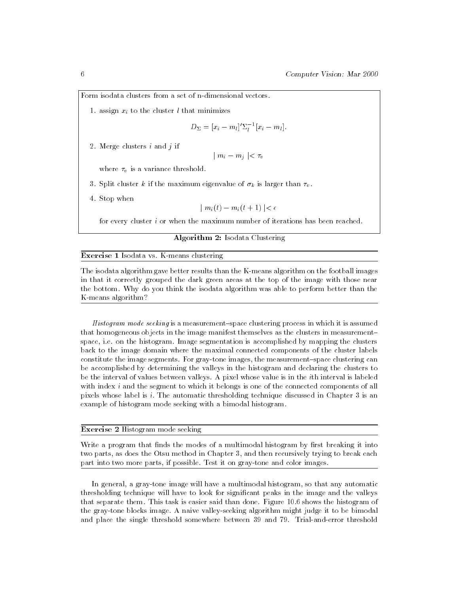Form isodata clusters from a set of n-dimensional vectors.

1. assign  $x_i$  to the cluster l that minimizes

$$
D_{\Sigma}=[x_i-m_l]'\Sigma_l^{-1}[x_i-m_l].
$$

2. Merge clusters  $i$  and  $j$  if

$$
\mid m_i-m_j\mid<\tau_v
$$

where  $\tau_v$  is a variance threshold.

- 3. Split cluster k if the maximum eigenvalue of  $\sigma_k$  is larger than  $\tau_v$ .
- 4. Stop when

$$
|m_i(t) - m_i(t+1)| < \epsilon
$$

for every cluster i or when the maximum number of iterations has been reached.

### Algorithm 2: Isodata Clustering

#### Exercise 1 Isodata vs. K-means clustering

The isodata algorithm gave better results than the K-means algorithm on the football images in that it correctly grouped the dark green areas at the top of the image with those near the bottom. Why do you think the isodata algorithm was able to perform better than the K-means algorithm?

Histogram mode seeking is a measurement-space clustering process in which it is assumed that homogeneous objects in the image manifest themselves as the clusters in measurement{ space, i.e. on the histogram. Image segmentation is accomplished by mapping the clusters back to the image domain where the maximal connected components of the cluster labels constitute the image segments. For gray-tone images, the measurement-space clustering can be accomplished by determining the valleys in the histogram and declaring the clusters to be the interval of values between valleys. A pixel whose value is in the ith interval is labeled with index  $i$  and the segment to which it belongs is one of the connected components of all pixels whose label is i: The automatic thresholding technique discussed in Chapter 3 is an example of histogram mode seeking with a bimodal histogram.

## Exercise 2 Histogram mode seeking

Write a program that finds the modes of a multimodal histogram by first breaking it into two parts, as does the Otsu method in Chapter 3, and then recursively trying to break each part into two more parts, if possible. Test it on gray-tone and color images.

In general, a gray-tone image will have a multimodal histogram, so that any automatic thresholding technique will have to look for signicant peaks in the image and the valleys that separate them. This task is easier said than done. Figure 10.6 shows the histogram of the gray-tone blocks image. A naive valley-seeking algorithm might judge it to be bimodal and place the single threshold somewhere between 39 and 79. Trial-and-error threshold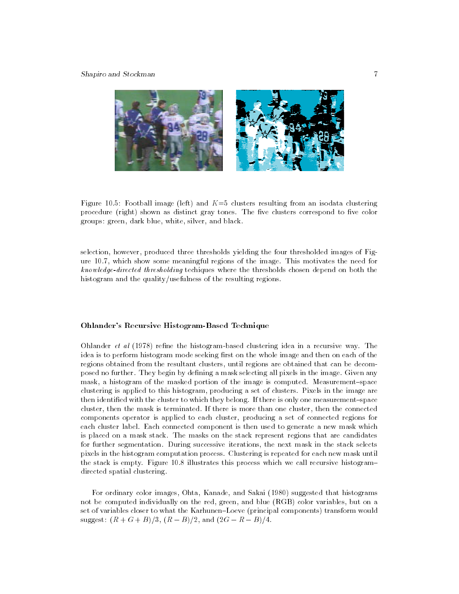

Figure 10.5: Football image (left) and  $K=5$  clusters resulting from an isodata clustering procedure (right) shown as distinct gray tones. The five clusters correspond to five color groups: green, dark blue, white, silver, and black.

selection, however, produced three thresholds yielding the four thresholded images of Figure 10.7, which show some meaningful regions of the image. This motivates the need for know ledge-directed thresholding techiques where the thresholds chosen depend on both the histogram and the quality/usefulness of the resulting regions.

# Ohlander's Recursive Histogram-Based Technique

Ohlander  $et$  al  $(1978)$  refine the histogram-based clustering idea in a recursive way. The idea is to perform histogram mode seeking first on the whole image and then on each of the regions obtained from the resultant clusters, until regions are obtained that can be decomposed no further. They begin by defining a mask selecting all pixels in the image. Given any mask, a histogram of the masked portion of the image is computed. Measurement-space clustering is applied to this histogram, producing a set of clusters. Pixels in the image are then identified with the cluster to which they belong. If there is only one measurement-space cluster, then the mask is terminated. If there is more than one cluster, then the connected components operator is applied to each cluster, producing a set of connected regions for each cluster label. Each connected component is then used to generate a new mask which is placed on a mask stack. The masks on the stack represent regions that are candidates for further segmentation. During successive iterations, the next mask in the stack selects pixels in the histogram computation process. Clustering is repeated for each new mask until the stack is empty. Figure 10.8 illustrates this process which we call recursive histogramdirected spatial clustering.

For ordinary color images, Ohta, Kanade, and Sakai (1980) suggested that histograms not be computed individually on the red, green, and blue (RGB) color variables, but on a set of variables closer to what the Karhunen-Loeve (principal components) transform would  $s = 50$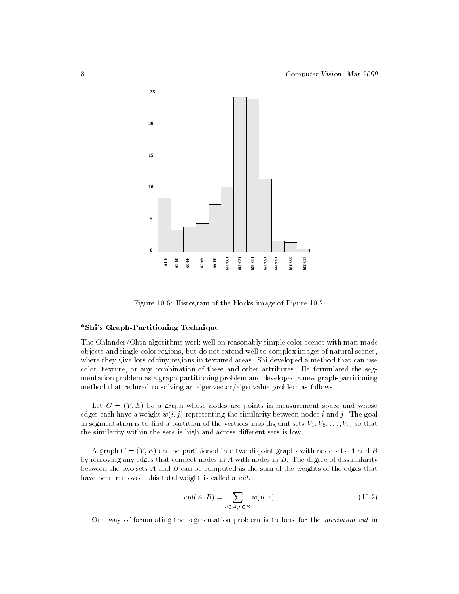

Figure 10.6: Histogram of the blocks image of Figure 10.2.

# \*Shi's Graph-Partitioning Technique

The Ohlander/Ohta algorithms work well on reasonably simple color scenes with man-made objects and single-color regions, but do not extend well to complex images of natural scenes, where they give lots of tiny regions in textured areas. Shi developed a method that can use color, texture, or any combination of these and other attributes. He formulated the seg mentation problem as a graph partitioning problem and developed a new graph-partitioning method that reduced to solving an eigenvector/eigenvalue problem as follows.

Let  $G = (V, E)$  be a graph whose nodes are points in measurement space and whose edges each have a weight  $w(i, j)$  representing the similarity between nodes i and j. The goal in segmentation is to find a partition of the vertices into disjoint sets  $V_1, V_2, \ldots, V_m$  so that the similarity within the sets is high and across different sets is low.

A graph  $G = (V, E)$  can be partitioned into two disjoint graphs with node sets A and B by removing any edges that connect nodes in A with nodes in  $B$ . The degree of dissimilarity between the two sets  $A$  and  $B$  can be computed as the sum of the weights of the edges that have been removed; this total weight is called a cut.

$$
cut(A, B) = \sum_{u \in A, v \in B} w(u, v)
$$
\n(10.2)

One way of formulating the segmentation problem is to look for the minimum cut in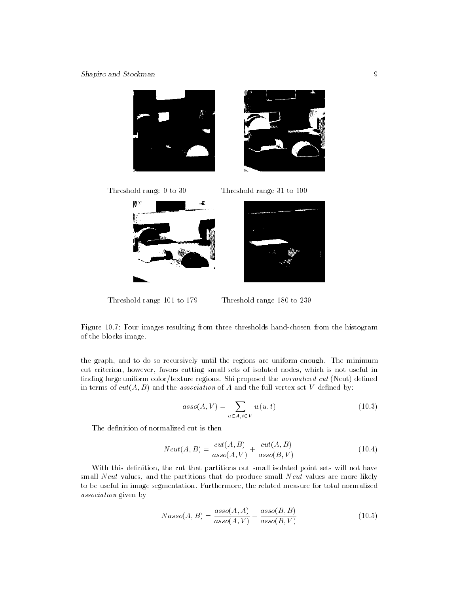# Shapiro and Stockman 9



Threshold range 0 to 30 Threshold range 31 to 100



Threshold range 101 to 179 Threshold range 180 to 239

Figure 10.7: Four images resulting from three thresholds hand-chosen from the histogram of the blocks image.

the graph, and to do so recursively until the regions are uniform enough. The minimum cut criterion, however, favors cutting small sets of isolated nodes, which is not useful in finding large uniform color/texture regions. Shi proposed the *normalized cut* (Ncut) defined in terms of  $cut(A, B)$  and the *association* of A and the full vertex set V defined by:

$$
asso(A, V) = \sum_{u \in A, t \in V} w(u, t)
$$
\n(10.3)

The definition of normalized cut is then

$$
Ncut(A, B) = \frac{cut(A, B)}{asso(A, V)} + \frac{cut(A, B)}{asso(B, V)}
$$
(10.4)

With this definition, the cut that partitions out small isolated point sets will not have small Ncut values, and the partitions that do produce small Ncut values are more likely to be useful in image segmentation. Furthermore, the related measure for total normalized association given by

$$
Nasso(A, B) = \frac{asso(A, A)}{asso(A, V)} + \frac{asso(B, B)}{asso(B, V)}
$$
(10.5)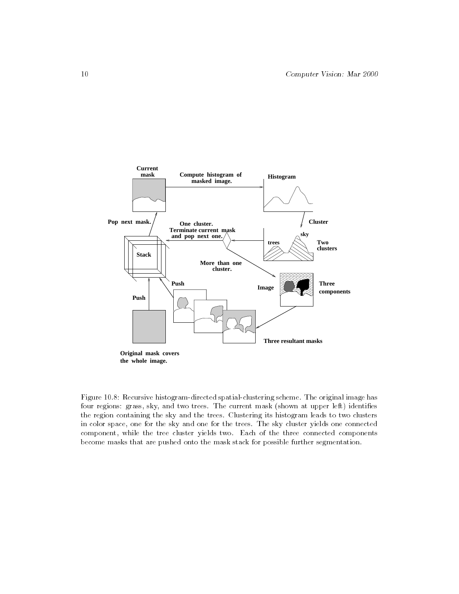

Figure 10.8: Recursive histogram-directed spatial-clustering scheme. The original image has four regions: grass, sky, and two trees. The current mask (shown at upper left) identifies the region containing the sky and the trees. Clustering its histogram leads to two clusters in color space, one for the sky and one for the trees. The sky cluster yields one connected component, while the tree cluster yields two. Each of the three connected components become masks that are pushed onto the mask stack for possible further segmentation.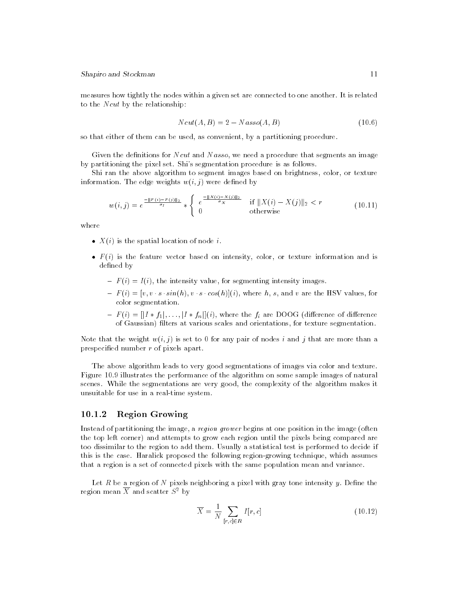measures how tightly the nodes within a given set are connected to one another. It is related to the  $Ncut$  by the relationship:

$$
Ncut(A, B) = 2 - Nasso(A, B)
$$
\n<sup>(10.6)</sup>

so that either of them can be used, as convenient, by a partitioning procedure.

Given the definitions for  $Ncut$  and  $Nasso$ , we need a procedure that segments an image by partitioning the pixel set. Shi's segmentation procedure is as follows.

Shi ran the above algorithm to segment images based on brightness, color, or texture information. The edge weights  $w(i, j)$  were defined by

$$
w(i,j) = e^{\frac{-\|F(i) - F(j)\|_2}{\sigma_I}} * \begin{cases} e^{\frac{-\|X(i) - X(j)\|_2}{\sigma_X}} & \text{if } \|X(i) - X(j)\|_2 < r\\ 0 & \text{otherwise} \end{cases} \tag{10.11}
$$

where

- $\bullet$   $X(i)$  is the spatial location of node *i*.
- $\bullet$   $F(i)$  is the feature vector based on intensity, color, or texture information and is defined by de en de la contrada de la contrada de la contrada de la contrada de la contrada de la contrada de la contrada
	- ${F(t) = I(i)}$ , the intensity value, for segmenting intensity images.
	- ${\bf r}$  (i)  ${\bf r}$  is singleted that  ${\bf r}$  (ii)](ii), where h, s, and v are the HSV values, for color segmentation.
	- of  $\overrightarrow{G}$  aussian) filters at various scales and orientations, for texture segmentation.

Note that the weight  $w(i, j)$  is set to 0 for any pair of nodes i and j that are more than a prespecied number r of pixels apart.

The above algorithm leads to very good segmentations of images via color and texture. Figure 10.9 illustrates the performance of the algorithm on some sample images of natural scenes. While the segmentations are very good, the complexity of the algorithm makes it unsuitable for use in a real-time system.

#### $10.1.2$ Region Growing

Instead of partitioning the image, a region grower begins at one position in the image (often the top left corner) and attempts to grow each region until the pixels being compared are too dissimilar to the region to add them. Usually a statistical test is performed to decide if this is the case. Haralick proposed the following region-growing technique, which assumes that a region is a set of connected pixels with the same population mean and variance.

Let  $R$  be a region of  $N$  pixels neighboring a pixel with gray tone intensity  $y$ . Define the region mean  $\overline{X}$  and scatter  $S^2$  by

$$
\overline{X} = \frac{1}{N} \sum_{[r,c] \in R} I[r,c] \tag{10.12}
$$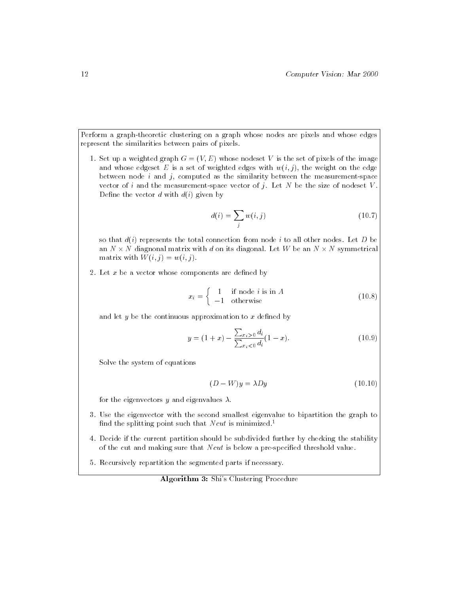Perform a graph-theoretic clustering on a graph whose nodes are pixels and whose edges represent the similarities between pairs of pixels.

1. Set up a weighted graph  $G = (V, E)$  whose nodeset V is the set of pixels of the image and whose edgeset E is a set of weighted edges with  $w(i, j)$ , the weight on the edge between node  $i$  and  $j$ , computed as the similarity between the measurement-space vector of i and the measurement-space vector of j. Let  $N$  be the size of nodeset  $V$ . Define the vector  $d$  with  $d(i)$  given by

$$
d(i) = \sum_{j} w(i, j) \tag{10.7}
$$

so that  $d(i)$  represents the total connection from node i to all other nodes. Let D be an I diagnonis matrix with discussed and its diagonal. Let  $\mathcal{A}$  be an I shown and  $\mathcal{A}$ matrix with  $W(i, j) = w(i, j)$ .

2. Let  $x$  be a vector whose components are defined by

$$
x_i = \begin{cases} 1 & \text{if node } i \text{ is in } A \\ -1 & \text{otherwise} \end{cases}
$$
 (10.8)

and let  $y$  be the continuous approximation to  $x$  defined by

$$
y = (1+x) - \frac{\sum_{x_i > 0} d_i}{\sum_{x_i < 0} d_i} (1-x).
$$
 (10.9)

Solve the system of equations

$$
(D - W)y = \lambda Dy \tag{10.10}
$$

for the eigenvectors y and eigenvalues  $\lambda$ .

- 3. Use the eigenvector with the second smallest eigenvalue to bipartition the graph to find the splitting point such that N cut is minimized.<sup>1</sup>
- 4. Decide if the current partition should be subdivided further by checking the stability of the cut and making sure that  $Ncut$  is below a pre-specified threshold value.
- 5. Recursively repartition the segmented parts if necessary.

Algorithm 3: Shi's Clustering Procedure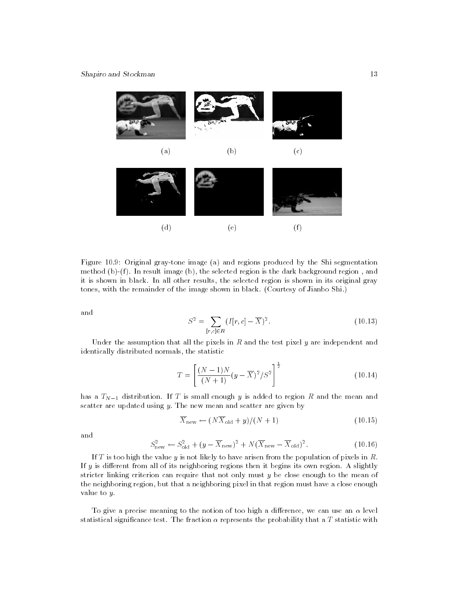

Figure 10.9: Original gray-tone image (a) and regions produced by the Shi segmentation method  $(b)-(f)$ . In result image  $(b)$ , the selected region is the dark background region, and it is shown in black. In all other results, the selected region is shown in its original gray tones, with the remainder of the image shown in black. (Courtesy of Jianbo Shi.)

and

$$
S^{2} = \sum_{[r,c] \in R} (I[r,c] - \overline{X})^{2}.
$$
 (10.13)

Under the assumption that all the pixels in  $R$  and the test pixel  $y$  are independent and identically distributed normals, the statistic

$$
T = \left[\frac{(N-1)N}{(N+1)}(y-\overline{X})^2/S^2\right]^{\frac{1}{2}}
$$
\n(10.14)

has a  $T_{N-1}$  distribution. If T is small enough y is added to region R and the mean and scatter are updated using  $y$ . The new mean and scatter are given by

$$
\overline{X}_{\text{new}} \leftarrow (N\overline{X}_{\text{old}} + y)/(N+1) \tag{10.15}
$$

and

$$
S_{\text{new}}^2 \leftarrow S_{\text{old}}^2 + (y - \overline{X}_{\text{new}})^2 + N(\overline{X}_{\text{new}} - \overline{X}_{\text{old}})^2. \tag{10.16}
$$

If T is too high the value y is not likely to have arisen from the population of pixels in  $R$ . If  $y$  is different from all of its neighboring regions then it begins its own region. A slightly stricter linking criterion can require that not only must y be close enough to the mean of the neighboring region, but that a neighboring pixel in that region must have a close enough value to y.

To give a precise meaning to the notion of too high a difference, we can use an  $\alpha$  level statistical significance test. The fraction  $\alpha$  represents the probability that a T statistic with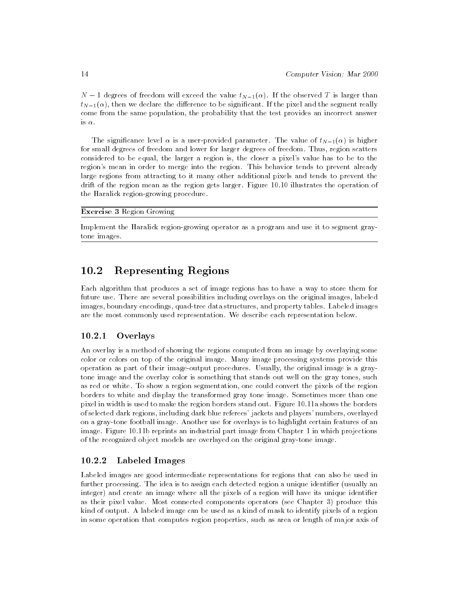$N-1$  degrees of freedom will exceed the value  $t_{N-1}(\alpha)$ . If the observed T is larger than  $t_{N-1}(\alpha)$ , then we declare the difference to be significant. If the pixel and the segment really come from the same population, the probability that the test provides an incorrect answer is  $\alpha$ .

The significance level  $\alpha$  is a user-provided parameter. The value of  $t_{N-1}(\alpha)$  is higher for small degrees of freedom and lower for larger degrees of freedom. Thus, region scatters considered to be equal, the larger a region is, the closer a pixel's value has to be to the region's mean in order to merge into the region. This behavior tends to prevent already large regions from attracting to it many other additional pixels and tends to prevent the drift of the region mean as the region gets larger. Figure 10.10 illustrates the operation of the Haralick region-growing procedure.

#### Exercise 3 Region Growing

Implement the Haralick region-growing operator as a program and use it to segment graytone images.

#### 10.2Representing Regions

Each algorithm that produces a set of image regions has to haveaway to store them for future use. There are several possibilities including overlays on the original images, labeled images, boundary encodings, quad-tree data structures, and property tables. Labeled images are the most commonly used representation. We describe each representation below.

# 10.2.1 Overlays

An overlay is a method of showing the regions computed from an image by overlaying some color or colors on top of the original image. Many image processing systems provide this operation as part of their image-output procedures. Usually, the original image is a graytone image and the overlay color is something that stands out well on the gray tones, such as red or white. To show a region segmentation, one could convert the pixels of the region borders to white and display the transformed gray tone image. Sometimes more than one pixel in width is used to make the region borders stand out. Figure 10.11a shows the borders of selected dark regions, including dark blue referees' jackets and players' numbers, overlayed on a gray-tone football image. Another use for overlays is to highlight certain features of an image. Figure 10.11b reprints an industrial part image from Chapter 1 in which projections of the recognized object models are overlayed on the original gray-tone image.

# 10.2.2 Labeled Images

Labeled images are good intermediate representations for regions that can also be used in further processing. The idea is to assign each detected region a unique identifier (usually an integer) and create an image where all the pixels of a region will have its unique identifier as their pixel value. Most connected components operators (see Chapter 3) produce this kind of output. A labeled image can be used as a kind of mask to identify pixels of a region in some operation that computes region properties, such as area or length of major axis of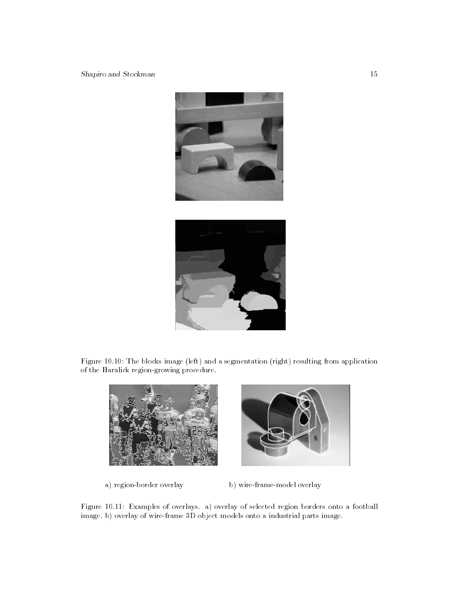



Figure 10.10: The blocks image (left) and a segmentation (right) resulting from application of the Haralick region-growing procedure.





a) region-border overlay b) wire-frame-model overlay

Figure 10.11: Examples of overlays. a) overlay of selected region borders onto a football image. b) overlay of wire-frame 3D object models onto a industrial parts image.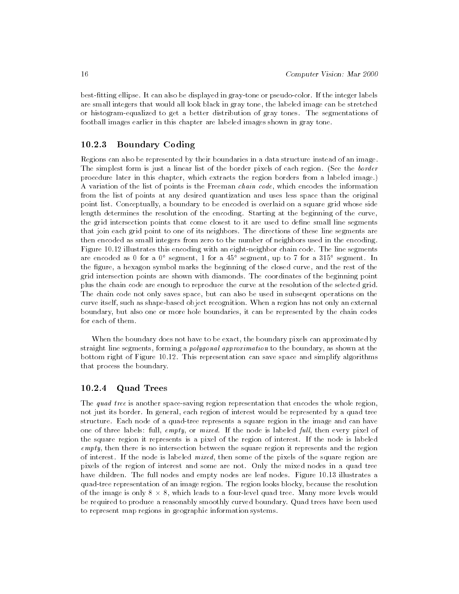best-tting ellipse. It can also be displayed in gray-tone or pseudo-color. If the integer labels are small integers that would all look black in gray tone, the labeled image can be stretched or histogram-equalized to get a better distribution of gray tones. The segmentations of football images earlier in this chapter are labeled images shown in gray tone.

#### 10.2.3 Boundary Coding

Regions can also be represented by their boundaries in a data structure instead of an image. The simplest form is just a linear list of the border pixels of each region. (See the border procedure later in this chapter, which extracts the region borders from a labeled image.) A variation of the list of points is the Freeman chain code, which encodes the information from the list of points at any desired quantization and uses less space than the original point list. Conceptually, a boundary to be encoded is overlaid on a square grid whose side length determines the resolution of the encoding. Starting at the beginning of the curve, the grid intersection points that come closest to it are used to dene small line segments that join each grid point to one of its neighbors. The directions of these line segments are then encoded as small integers from zero to the number of neighbors used in the encoding. Figure 10.12 illustrates this encoding with an eight-neighbor chain code. The line segments are encoded as 0 for a 0° segment, 1 for a 45° segment, up to 7 for a 315° segment. In the figure, a hexagon symbol marks the beginning of the closed curve, and the rest of the grid intersection points are shown with diamonds. The coordinates of the beginning point plus the chain code are enough to reproduce the curve at the resolution of the selected grid. The chain code not only saves space, but can also be used in subseqent operations on the curve itself, such as shape-based object recognition. When a region has not only an external boundary, but also one or more hole boundaries, it can be represented by the chain codes for each of them.

When the boundary does not have to be exact, the boundary pixels can approximated by straight line segments, forming a polygonal approximation to the boundary, as shown at the bottom right of Figure 10.12. This representation can save space and simplify algorithms that process the boundary.

# 10.2.4 Quad Trees

The quad tree is another space-saving region representation that encodes the whole region, not just its border. In general, each region of interest would be represented by a quad tree structure. Each node of a quad-tree represents a square region in the image and can have one of three labels: full,  $empty,$  or mixed. If the node is labeled full, then every pixel of the square region it represents is a pixel of the region of interest. If the node is labeled empty, then there is no intersection between the square region it represents and the region of interest. If the node is labeled mixed, then some of the pixels of the square region are pixels of the region of interest and some are not. Only the mixed nodes in a quad tree have children. The full nodes and empty nodes are leaf nodes. Figure 10.13 illustrates a quad-tree representation of an image region. The region looks blocky, because the resolution of the image is only 8 8, which leads to a four-level quad tree. Many more levels would -be required to produce a reasonably smoothly curved boundary. Quad trees have been used to represent map regions in geographic information systems.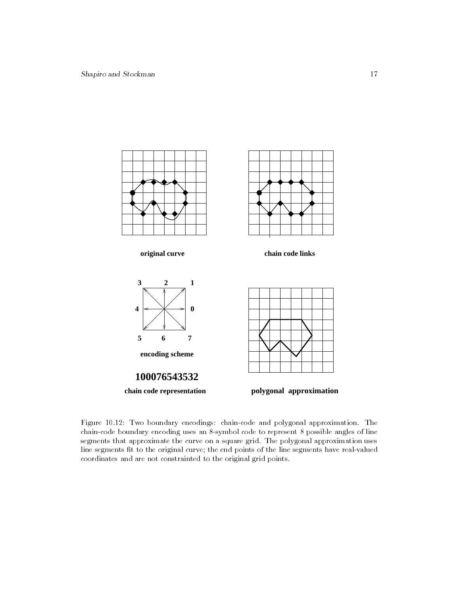





**chain code representation polygonal approximation**



Figure 10.12: Two boundary encodings: chain-code and polygonal approximation. The chain-code boundary encoding uses an 8-symbol code to represent 8 possible angles of line segments that approximate the curve on a square grid. The polygonal approximation uses line segments fit to the original curve; the end points of the line segments have real-valued coordinates and are not constrainted to the original grid points.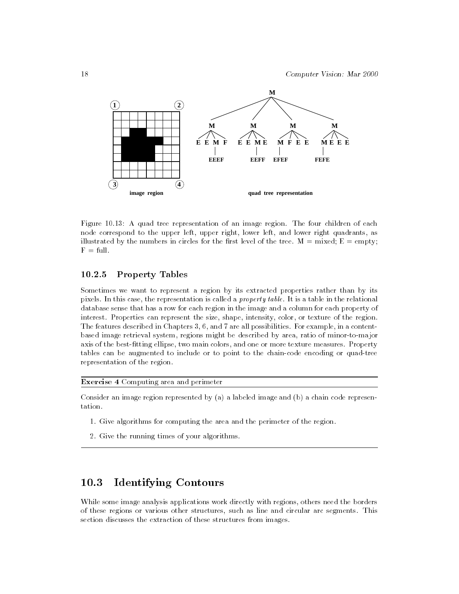

Figure 10.13: A quad tree representation of an image region. The four children of each node correspond to the upper left, upper right, lower left, and lower right quadrants, as illustrated by the numbers in circles for the first level of the tree.  $M = mixed$ ;  $E = empty$ ;  $F = full$ .

# 10.2.5 Property Tables

Sometimes we want to represent a region by its extracted properties rather than by its pixels. In this case, the representation is called a property table. It is a table in the relational database sense that has a row for each region in the image and a column for each property of interest. Properties can represent the size, shape, intensity, color, or texture of the region. The features described in Chapters 3, 6, and 7 are all possibilities. For example, in a contentbased image retrieval system, regions might be described by area, ratio of minor-to-major axis of the best-fitting ellipse, two main colors, and one or more texture measures. Property tables can be augmented to include or to point to the chain-code encoding or quad-tree representation of the region.

Exercise 4 Computing area and perimeter

Consider an image region represented by (a) a labeled image and (b) a chain code representation.

- 1. Give algorithms for computing the area and the perimeter of the region.
- 2. Give the running times of your algorithms.

#### 10.3Identifying Contours

While some image analysis applications work directly with regions, others need the borders of these regions or various other structures, such as line and circular arc segments. This section discusses the extraction of these structures from images.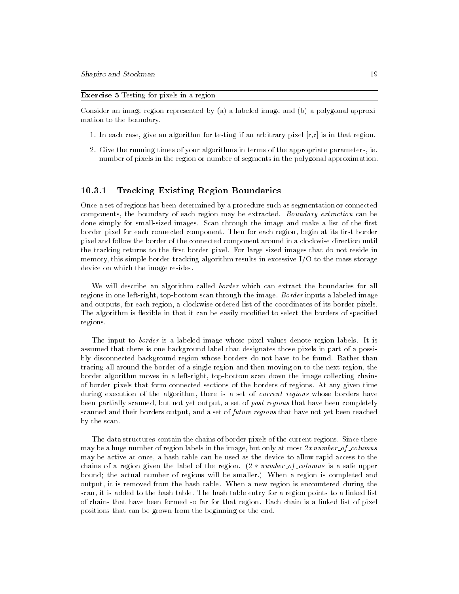Exercise 5 Testing for pixels in a region

Consider an image region represented by (a) a labeled image and (b) a polygonal approximation to the boundary.

- 1. In each case, give an algorithm for testing if an arbitrary pixel  $[r,c]$  is in that region.
- 2. Give the running times of your algorithms in terms of the appropriate parameters, ie. number of pixels in the region or number of segments in the polygonal approximation.

# 10.3.1 Tracking Existing Region Boundaries

Once a set of regions has been determined by a procedure such as segmentation or connected components, the boundary of each region may be extracted. Boundary extraction can be done simply for small-sized images. Scan through the image and make a list of the first border pixel for each connected component. Then for each region, begin at its first border pixel and follow the border of the connected component around in a clockwise direction until the tracking returns to the first border pixel. For large sized images that do not reside in memory, this simple border tracking algorithm results in excessive I/O to the mass storage device on which the image resides.

We will describe an algorithm called *border* which can extract the boundaries for all regions in one left-right, top-bottom scan through the image. Border inputs a labeled image and outputs, for each region, a clockwise ordered list of the coordinates of its border pixels. The algorithm is flexible in that it can be easily modified to select the borders of specified regions.

The input to border is a labeled image whose pixel values denote region labels. It is assumed that there is one background label that designates those pixels in part of a possibly disconnected background region whose borders do not have to be found. Rather than tracing all around the border of a single region and then moving on to the next region, the border algorithm moves in a left-right, top-bottom scan down the image collecting chains of border pixels that form connected sections of the borders of regions. At any given time during execution of the algorithm, there is a set of *current regions* whose borders have been partially scanned, but not yet output, a set of past regions that have been completely scanned and their borders output, and a set of future regions that have not yet been reached by the scan.

The data structures contain the chains of border pixels of the current regions. Since there may be a huge number of region labels in the image, but only at most 2number of columns may be active at once, a hash table can be used as the device to allow rapid access to the chains of a region given the label of the region.  $(2 * number_of_{columns} is a safe upper)$ bound; the actual number of regions will be smaller.) When a region is completed and output, it is removed from the hash table. When a new region is encountered during the scan, it is added to the hash table. The hash table entry for a region points to a linked list of chains that have been formed so far for that region. Each chain is a linked list of pixel positions that can be grown from the beginning or the end.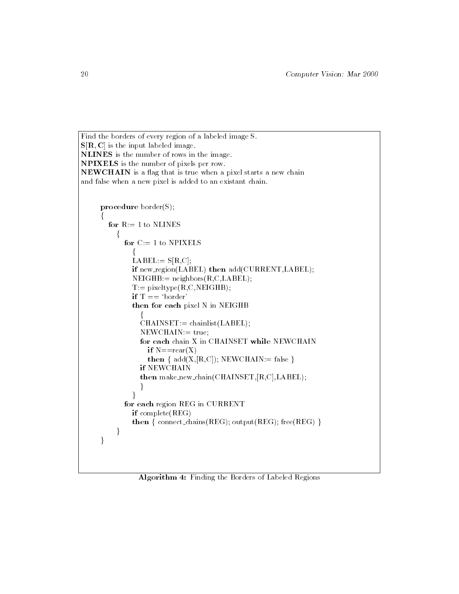```
Find the borders of every region of a labeled image S.
S[R, C] is the input labeled image.
NLINES is the number of rows in the image.
NPIXELS is the number of pixels per row. NEWCHAIN is a flag that is true when a pixel starts a new chain
and false when a new pixel is added to an existant chain.
       procedure border(S);
        for R := 1 to NLINES
               for C:=1 to NPIXELS
                     LABEL:= S[R,C];
                    if new_region(LABEL) then add(CURRENT,LABEL);
                     NEIGHB := neighbors(R, C, LABEL);
                     T:= pixeltype(R, C, NEIGHB);if T == 'border'then for each pixel N in NEIGHB
                        CHAINSET := \text{chainlist}(\text{LABEL});NEWCHAIN := true;for each chain X in CHAINSET while NEWCHAIN
                           if N = = \text{rear}(X)t = 1; \frac{1}{\sqrt{2}}; \frac{1}{\sqrt{2}}; \frac{1}{\sqrt{2}}; \frac{1}{\sqrt{2}}; \frac{1}{\sqrt{2}}; \frac{1}{\sqrt{2}}; \frac{1}{\sqrt{2}}; \frac{1}{\sqrt{2}}; \frac{1}{\sqrt{2}}; \frac{1}{\sqrt{2}}; \frac{1}{\sqrt{2}}; \frac{1}{\sqrt{2}}; \frac{1}{\sqrt{2}}; \frac{1}{\sqrt{2}}; \frac{1}{\sqrt{2}}; \fracif NEWCHAIN
                        then make_new_chain(CHAINSET,[R,C],LABEL);
                        g
                  for each region REG in CURRENT
                    if complete(REG)
                     \frac{1}{\sqrt{2}}; connect chains(REG); \frac{1}{\sqrt{2}}; free(REG) given(REG) given(REG) given(REG) given(REG) given(REG) given(REG) given(REG) given(REG) given(REG) given(REG) given(REG) given(REG) given(REG) given(REG) given(RE
               g
        g
```
Algorithm 4: Finding the Borders of Labeled Regions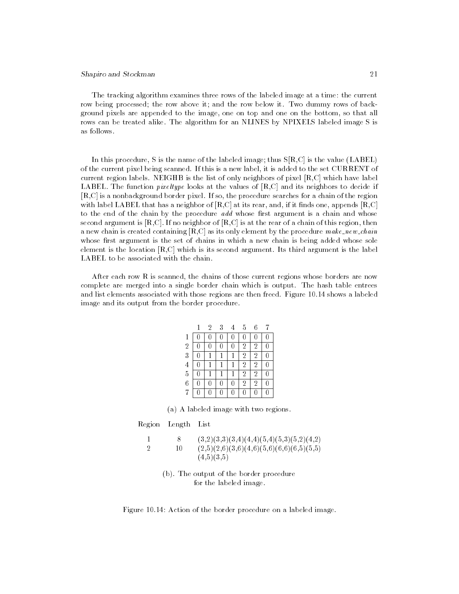# Shapiro and Stockman 21

The tracking algorithm examines three rows of the labeled image at a time: the current row being processed; the row above it; and the row below it. Two dummy rows of background pixels are appended to the image, one on top and one on the bottom, so that all rows can be treated alike. The algorithm for an NLINES by NPIXELS labeled image S is as follows.

In this procedure, S is the name of the labeled image; thus S[R,C] is the value (LABEL) of the current pixel being scanned. If this is a new label, it is added to the set CURRENT of current region labels. NEIGHB is the list of only neighbors of pixel [R,C] which have label LABEL. The function *pixeltype* looks at the values of  $[R, C]$  and its neighbors to decide if [R,C] is a nonbackground border pixel. If so, the procedure searches for a chain of the region with label LABEL that has a neighbor of  $[R, C]$  at its rear, and, if it finds one, appends  $[R, C]$ to the end of the chain by the procedure  $add$  whose first argument is a chain and whose second argument is  $[R, C]$ . If no neighbor of  $[R, C]$  is at the rear of a chain of this region, then a new chain is created containing  $[R, C]$  as its only element by the procedure make new chain whose first argument is the set of chains in which a new chain is being added whose sole element is the location [R,C] which is its second argument. Its third argument is the label LABEL to be associated with the chain.

After each row R is scanned, the chains of those current regions whose borders are now complete are merged into a single border chain which is output. The hash table entrees and list elements associated with those regions are then freed. Figure 10.14 shows a labeled image and its output from the border procedure.

|                | 2 | 3 | 5              | Բ |    |  |
|----------------|---|---|----------------|---|----|--|
| 1              |   |   |                |   |    |  |
| $\overline{2}$ |   |   | $\overline{2}$ | 2 | O  |  |
| $\overline{3}$ |   |   | $\overline{2}$ | 2 | 0  |  |
| $\overline{4}$ |   |   | $\overline{2}$ | 2 | 0  |  |
| $\overline{5}$ |   |   | $\overline{2}$ | 2 | [] |  |
| $\,$ 6 $\,$    |   |   | $\overline{2}$ | 2 | [] |  |
| 7              |   | Π | 0              |   | 0  |  |

(a) A labeled image with two regions.

Region Length List

|    | $(3,2)(3,3)(3,4)(4,4)(5,4)(5,3)(5,2)(4,2)$ |  |
|----|--------------------------------------------|--|
| 10 | $(2,5)(2,6)(3,6)(4,6)(5,6)(6,6)(6,5)(5,5)$ |  |
|    | (4,5)(3,5)                                 |  |

(b). The output of the border procedure for the labeled image.

Figure 10.14: Action of the border procedure on a labeled image.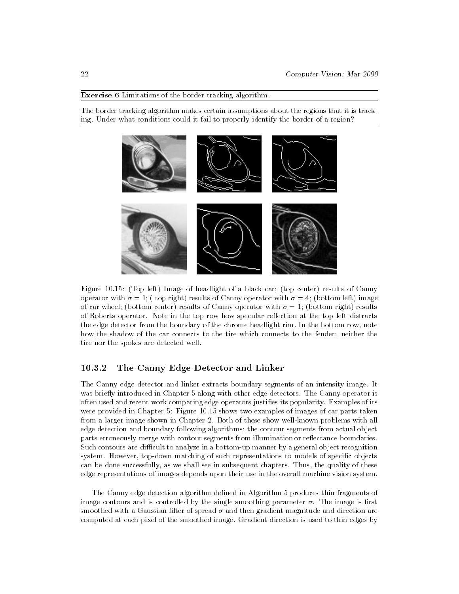#### Exercise 6 Limitations of the border tracking algorithm.

The border tracking algorithm makes certain assumptions about the regions that it is tracking. Under what conditions could it fail to properly identify the border of a region?



Figure 10.15: (Top left) Image of headlight of a black car; (top center) results of Canny operator with  $\sigma = 1$ ; (top right) results of Canny operator with  $\sigma = 4$ ; (bottom left) image of car wheel; (bottom center) results of Canny operator with  $\sigma = 1$ ; (bottom right) results of Roberts operator. Note in the top row how specular re
ection at the top left distracts the edge detector from the boundary of the chrome headlight rim. In the bottom row, note how the shadow of the car connects to the tire which connects to the fender: neither the tire nor the spokes are detected well.

# 10.3.2 The Canny Edge Detector and Linker

The Canny edge detector and linker extracts boundary segments of an intensity image. It was briefly introduced in Chapter 5 along with other edge detectors. The Canny operator is often used and recent work comparing edge operators justies its popularity. Examples of its were provided in Chapter 5: Figure 10.15 shows two examples of images of car parts taken from a larger image shown in Chapter 2. Both of these show well-known problems with all edge detection and boundary following algorithms: the contour segments from actual object parts erroneously merge with contour segments from illumination or reflectance boundaries. Such contours are difficult to analyze in a bottom-up manner by a general object recognition system. However, top-down matching of such representations to models of specific objects can be done successfully, as we shall see in subsequent chapters. Thus, the quality of these edge representations of images depends upon their use in the overall machine vision system.

The Canny edge detection algorithm defined in Algorithm 5 produces thin fragments of image contours and is controlled by the single smoothing parameter  $\sigma$ . The image is first smoothed with a Gaussian filter of spread  $\sigma$  and then gradient magnitude and direction are computed at each pixel of the smoothed image. Gradient direction is used to thin edges by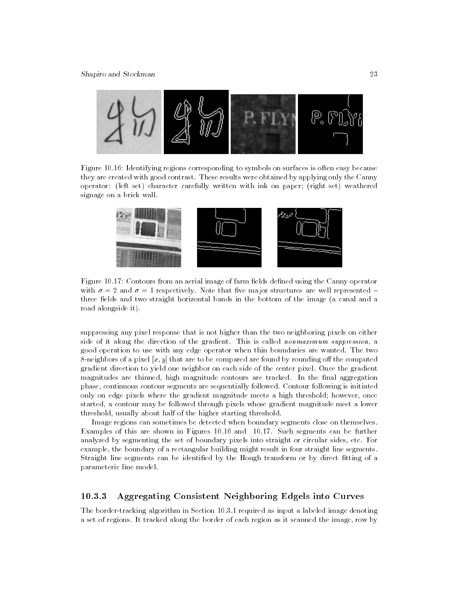

Figure 10.16: Identifying regions corresponding to symbols on surfaces is often easy because they are created with good contrast. These results were obtained by applying only the Canny operator: (left set) character carefully written with ink on paper; (right set) weathered signage on a brick wall.



Figure 10.17: Contours from an aerial image of farm fields defined using the Canny operator with  $\sigma = 2$  and  $\sigma = 1$  respectively. Note that five major structures are well represented three fields and two straight horizontal bands in the bottom of the image (a canal and a road alongside it).

suppressing any pixel response that is not higher than the two neighboring pixels on either side of it along the direction of the gradient. This is called *nonmaximum suppression*, a good operation to use with any edge operator when thin boundaries are wanted. The two 8-neighbors of a pixel  $[x, y]$  that are to be compared are found by rounding off the computed gradient direction to yield one neighbor on each side of the center pixel. Once the gradient magnitudes are thinned, high magnitude contours are tracked. In the final aggregation phase, continuous contour segments are sequentially followed. Contour following is initiated only on edge pixels where the gradient magnitude meets a high threshold; however, once started, a contour may be followed through pixels whose gradient magnitude meet a lower threshold, usually about half of the higher starting threshold.

Image regions can sometimes be detected when boundary segments close on themselves. Examples of this are shown in Figures 10.16 and 10.17. Such segments can be further analyzed by segmenting the set of boundary pixels into straight or circular sides, etc. For example, the boundary of a rectangular building might result in four straight line segments. Straight line segments can be identified by the Hough transform or by direct fitting of a parameteric line model.

# 10.3.3 Aggregating Consistent Neighboring Edgels into Curves

The border-tracking algorithm in Section 10.3.1 required as input a labeled image denoting a set of regions. It tracked along the border of each region as it scanned the image, row by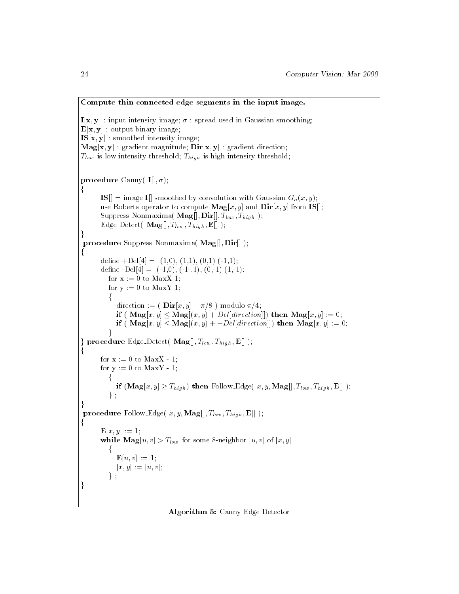```
Compute thin connected edge segments in the input image.
I[x, y]: input intensity image; \sigma: spread used in Gaussian smoothing;
\mathbf{E}[\mathbf{x}, \mathbf{y}] : output binary image;
IS[x, y] : smoothed intensity image;
\mathbf{Mag}[\mathbf{x},\mathbf{y}] : gradient magnitude; \mathbf{Dir}[\mathbf{x},\mathbf{y}] : gradient direction;
T_{low} is low intensity threshold; T_{high} is high intensity threshold;
procedure Canny( \mathbf{I}[[,\sigma);f<sub>or</sub>
        \textbf{IS} = image I[] smoothed by convolution with Gaussian G_{\sigma}(x, y);
        use Roberts operator to compute \mathbf{Mag}[x, y] and \mathbf{Dir}[x, y] from \mathbf{IS}];
        Suppress_Nonmaxima(\textbf{Mag}[], \textbf{Dir}[], T_{low}, T_{high});
        Edge_Detect( \mathbf{Mag}[], T_{low}, T_{high}, \mathbf{E}[] );
,<br>procedure Suppress_Nonmaxima( Mag[], Dir[] );
for the second
        define +Del[4] = (1,0), (1,1), (0,1) (-1,1);
        define -Del[4] = (-1,0), (-1,1), (0,-1) (1,-1);for x := 0 to MaxX-1;
           for y := 0 to MaxY-1;
            direction := (\textbf{Dir}[x, y] + \pi/8) modulo \pi/4;
              if ( \mathbf{Mag}[x, y] \leq \mathbf{Mag}[(x, y) + Del[direction]]) then \mathbf{Mag}[x, y] := 0;
               if (Mag[x, y] \leq Mag[(x, y) + -DeI[direction]] then Mag[x, y] := 0;
            \frac{1}{1}g procedure Edge Detection ( Magnetic Detection); The Detection of Detection ( Magnetic Detection); The Detect<br>Detection of the Detection of Detection ( Magnetic Detection of Detection ( Magnetic Detection); The Detection
f
        for x := 0 to MaxX - 1;
        for y := 0 to MaxY - 1;
            if (\mathbf{Mag}[x, y] \geq T_{high}) then Follow Edge(x, y, \mathbf{Mag}[, T_{low}, T_{high}, \mathbf{E}[] );
           \} ;
procedure Follow Edge( x, y, Mag[], T_{low}, T_{high}, E[]);
f<sub>r</sub>
        {\bf E}[x,y] := 1;while \text{Mag}[u, v] > T_{low} for some 8-neighbor [u, v] of [x, y]\mathbf{E}[u, v] := 1;[x, y] := [u, v];\mathbf{y}ger i sta
```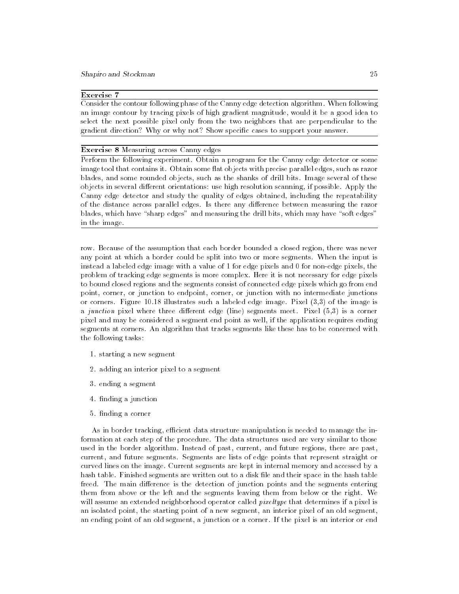# Exercise 7

Consider the contour following phase of the Canny edge detection algorithm. When following an image contour by tracing pixels of high gradient magnitude, would it be a good idea to select the next possible pixel only from the two neighbors that are perpendicular to the gradient direction? Why or why not? Show specific cases to support your answer.

#### Exercise 8 Measuring across Canny edges

Perform the following experiment. Obtain a program for the Canny edge detector or some image tool that contains it. Obtain some flat objects with precise parallel edges, such as razor blades, and some rounded objects, such as the shanks of drill bits. Image several of these objects in several different orientations: use high resolution scanning, if possible. Apply the Canny edge detector and study the quality of edges obtained, including the repeatability of the distance across parallel edges. Is there any difference between measuring the razor blades, which have "sharp edges" and measuring the drill bits, which may have "soft edges" in the image.

row. Because of the assumption that each border bounded a closed region, there was never any point at which a border could be split into two or more segments. When the input is instead a labeled edge image with a value of 1 for edge pixels and 0 for non-edge pixels, the problem of tracking edge segments is more complex. Here it is not necessary for edge pixels to bound closed regions and the segments consist of connected edge pixels which go from end point, corner, or junction to endpoint, corner, or junction with no intermediate junctions or corners. Figure 10.18 illustrates such a labeled edge image. Pixel (3,3) of the image is a junction pixel where three different edge (line) segments meet. Pixel  $(5,3)$  is a corner pixel and may be considered a segment end point as well, if the application requires ending segments at corners. An algorithm that tracks segments like these has to be concerned with the following tasks:

- 1. starting a new segment
- 2. adding an interior pixel to a segment
- 3. ending a segment
- 4. finding a junction
- 5. nding a corner

As in border tracking, efficient data structure manipulation is needed to manage the information at each step of the procedure. The data structures used are very similar to those used in the border algorithm. Instead of past, current, and future regions, there are past, current, and future segments. Segments are lists of edge points that represent straight or curved lines on the image. Current segments are kept in internal memory and accessed by a hash table. Finished segments are written out to a disk file and their space in the hash table freed. The main difference is the detection of junction points and the segments entering them from above or the left and the segments leaving them from below or the right. We will assume an extended neighborhood operator called *pixeltype* that determines if a pixel is an isolated point, the starting point of a new segment, an interior pixel of an old segment, an ending point of an old segment, a junction or a corner. If the pixel is an interior or end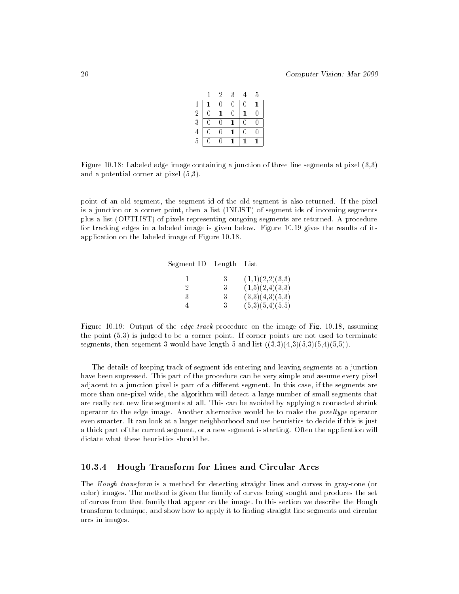|                                                 |   | 2 | 3 | 4 | 5 |  |
|-------------------------------------------------|---|---|---|---|---|--|
|                                                 |   | 0 | 0 | U |   |  |
|                                                 | Ŋ |   | 0 |   | 0 |  |
|                                                 | 0 | 0 |   | 0 | 0 |  |
| $\begin{array}{c} 2 \\ 3 \\ 4 \\ 5 \end{array}$ | 0 | 0 |   | 0 | 0 |  |
|                                                 | 0 | 0 |   |   |   |  |

Figure 10.18: Labeled edge image containing a junction of three line segments at pixel (3,3) and a potential corner at pixel (5,3).

point of an old segment, the segment id of the old segment is also returned. If the pixel is a junction or a corner point, then a list (INLIST) of segment ids of incoming segments plus a list (OUTLIST) of pixels representing outgoing segments are returned. A procedure for tracking edges in a labeled image is given below. Figure 10.19 gives the results of its application on the labeled image of Figure 10.18.

| Segment ID Length |    | List            |
|-------------------|----|-----------------|
|                   | 3  | (1,1)(2,2)(3,3) |
|                   | 3  | (1,5)(2,4)(3,3) |
| 3                 | 3  | (3,3)(4,3)(5,3) |
|                   | 3. | (5,3)(5,4)(5,5) |

Figure 10.19: Output of the *edge-track* procedure on the image of Fig. 10.18, assuming the point (5,3) is judged to be a corner point. If corner points are not used to terminate segments, then segement 3 would have length 5 and list  $((3,3)(4,3)(5,3)(5,4)(5,5))$ .

The details of keeping track of segment ids entering and leaving segments at a junction have been supressed. This part of the procedure can be very simple and assume every pixel adjacent to a junction pixel is part of a different segment. In this case, if the segments are more than one-pixel wide, the algorithm will detect a large number of small segments that are really not new line segments at all. This can be avoided by applying a connected shrink operator to the edge image. Another alternative would be to make the pixeltype operator even smarter. It can look at a larger neighborhood and use heuristics to decide if this is just a thick part of the current segment, or a new segment is starting. Often the application will dictate what these heuristics should be.

# 10.3.4 Hough Transform for Lines and Circular Arcs

The Hough transform is a method for detecting straight lines and curves in gray-tone (or color) images. The method is given the family of curves being sought and produces the set of curves from that family that appear on the image. In this section we describe the Hough transform technique, and show how to apply it to finding straight line segments and circular arcs in images.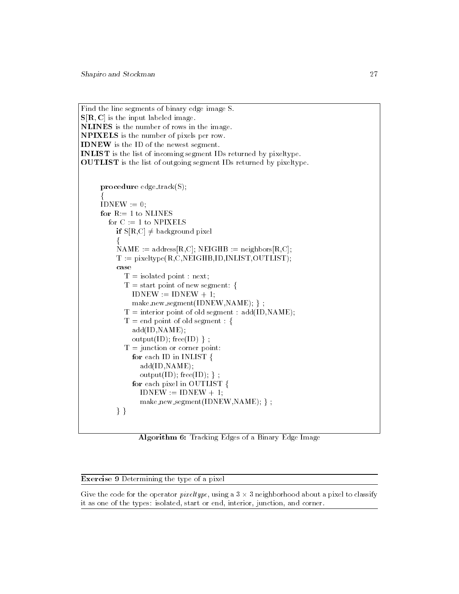Find the line segments of binary edge image S.  $S[R, C]$  is the input labeled image. NLINES is the number of rows in the image. NPIXELS is the number of pixels per row. IDNEW is the ID of the newest segment. INLIST is the list of incoming segment IDs returned by pixeltype. OUTLIST is the list of outgoing segment IDs returned by pixeltype. procedure  $edge\_track(S)$ ; ₹  $\text{IDNEW} := 0$ ; for  $R := 1$  to NLINES for  $C := 1$  to NPIXELS if  $S[R,C] \neq$  background pixel  $NAME := address[R.C]; NEIGHB := neighbors[R.C];$  $T :=$  pixeltype(R,C,NEIGHB,ID,INLIST,OUTLIST); case<br> $T =$  isolated point : next;  $T = start point of new segment:$ f  $IDNEW := IDNEW + 1;$ make\_new\_segment(IDNEW,NAME); };  $T =$  interior point of old segment : add(ID,NAME);  $T = end$  point of old segment : { for the second add(ID,NAME);  $output(ID); free(ID)$  ;  $T =$  junction or corner point: for each ID in INLIST { f<sub>orm</sub> add(ID,NAME); output(ID); free(ID); }; for each pixel in  $\overrightarrow{OUTLIST}$  { f<sub>or</sub>  $IDNEW := IDNEW + 1;$ make new segment(IDNEW,NAME); };  $\mathbf{y}$  ;  $\mathbf{y}$  $rac{1}{\sqrt{1-\frac{1}{1-\frac{1}{1-\frac{1}{1-\frac{1}{1-\frac{1}{1-\frac{1}{1-\frac{1}{1-\frac{1}{1-\frac{1}{1-\frac{1}{1-\frac{1}{1-\frac{1}{1-\frac{1}{1-\frac{1}{1-\frac{1}{1-\frac{1}{1-\frac{1}{1-\frac{1}{1-\frac{1}{1-\frac{1}{1-\frac{1}{1-\frac{1}{1-\frac{1}{1-\frac{1}{1-\frac{1}{1-\frac{1}{1-\frac{1}{1-\frac{1}{1-\frac{1}{1-\frac{1}{1-\frac{1}{1-\frac{1}{1-\frac{1}{1-\frac{1}{1-\frac{1}{1-\frac$ 

Algorithm 6: Tracking Edges of a Binary Edge Image

Exercise 9 Determining the type of a pixel

Give the code for the operator pixeltype, using a 3 3 neighborhood about a pixel to classify -it as one of the types: isolated, start or end, interior, junction, and corner.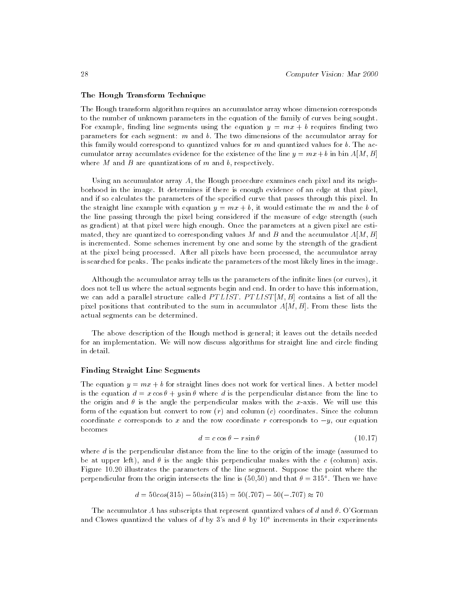### The Hough Transform Technique

The Hough transform algorithm requires an accumulator array whose dimension corresponds to the number of unknown parameters in the equation of the family of curves being sought. For example, finding line segments using the equation  $y = mx + b$  requires finding two parameters for each segment:  $m$  and  $b$ . The two dimensions of the accumulator array for this family would correspond to quantized values for  $m$  and quantized values for  $b$ . The accumulator array accumlates evidence for the existence of the line  $y = mx + b$  in bin  $A[M, B]$ where M and B are quantizations of m and b, respectively.

Using an accumulator array  $A$ , the Hough procedure examines each pixel and its neighborhood in the image. It determines if there is enough evidence of an edge at that pixel, and if so calculates the parameters of the specied curve that passes through this pixel. In the straight line example with equation  $y = mx + b$ , it would estimate the m and the b of the line passing through the pixel being considered if the measure of edge strength (such as gradient) at that pixel were high enough. Once the parameters at a given pixel are estimated, they are quantized to corresponding values M and B and the accumulator  $A[M, B]$ is incremented. Some schemes increment by one and some by the strength of the gradient at the pixel being processed. After all pixels have been processed, the accumulator array is searched for peaks. The peaks indicate the parameters of the most likely lines in the image.

Although the accumulator array tells us the parameters of the infinite lines (or curves), it does not tell us where the actual segments begin and end. In order to have this information, we can add a parallel structure called PTLIST. PTLIST  $[M, B]$  contains a list of all the pixel positions that contributed to the sum in accumulator  $A[M, B]$ . From these lists the actual segments can be determined.

The above description of the Hough method is general; it leaves out the details needed for an implementation. We will now discuss algorithms for straight line and circle finding in detail.

#### Finding Straight Line Segments

The equation  $y = mx + b$  for straight lines does not work for vertical lines. A better model is the equation  $d = x \cos \theta + y \sin \theta$  where d is the perpendicular distance from the line to the origin and  $\theta$  is the angle the perpendicular makes with the x-axis. We will use this form of the equation but convert to row  $(r)$  and column  $(c)$  coordinates. Since the column coordinate c corresponds to x and the row coordinate r corresponds to  $-y$ , our equation becomes

$$
d = c \cos \theta - r \sin \theta \tag{10.17}
$$

where  $d$  is the perpendicular distance from the line to the origin of the image (assumed to be at upper left), and  $\theta$  is the angle this perpendicular makes with the c (column) axis. Figure 10.20 illustrates the parameters of the line segment. Suppose the point where the perpendicular from the origin intersects the line is (50,50) and that  $\sigma = 315^\circ$  . Then we have

$$
d = 50\cos(315) - 50\sin(315) = 50(.707) - 50(-.707) \approx 70
$$

The accumulator A has subscripts that represent quantized values of d and  $\theta$ . O'Gorman and Clowes quantized the values of d by 3's and  $\theta$  by 10° increments in their experiments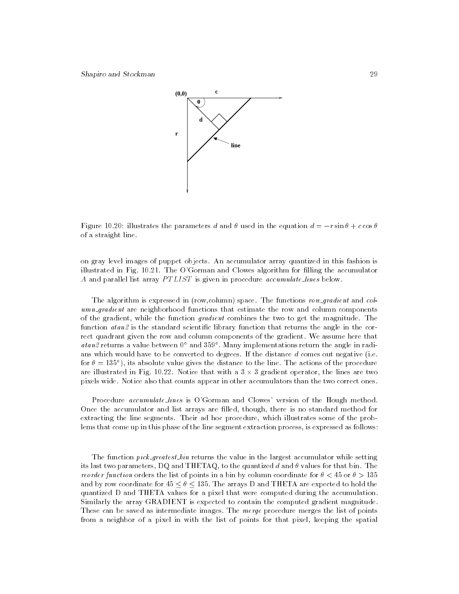

 $\begin{array}{ccc} 0.2031 & 1.2031 & 1.2001 & 1.2001 & 1.2001 & 1.2001 & 1.2001 & 1.2001 & 1.2001 & 1.2001 & 1.2001 & 1.2001 & 1.2001 & 1.2001 & 1.2001 & 1.2001 & 1.2001 & 1.2001 & 1.2001 & 1.2001 & 1.2001 & 1.2001 & 1.2001 & 1.2001 & 1.2001 & 1.2001 & 1.20$ of a straight line.

on gray level images of puppet objects. An accumulator array quantized in this fashion is illustrated in Fig. 10.21. The O'Gorman and Clowes algorithm for lling the accumulator A and parallel list array PTLIST is given in procedure accumulate lines below.

The algorithm is expressed in (row,column) space. The functions row\_gradient and col $umn$ *qradient* are neighborhood functions that estimate the row and column components of the gradient, while the function gradient combines the two to get the magnitude. The function  $\text{atan 2}$  is the standard scientific library function that returns the angle in the correct quadrant given the row and column components of the gradient. We assume here that  $\emph{atan}z$  returns a value between  $0^+$  and  $\emph{399}^+$  . Many implementations return the angle in radians which would have to be converted to degrees. If the distance d comes out negative (i.e. for  $\sigma =$  155 ° ), its absolute value gives the distance to the line. The actions of the procedure are illustrated in Fig. 10.22. Notice that with a 3  $3$  gradient operator, the lines are two states are two states are two states are two states are two states are two states are two states are two states are two states a -pixels wide. Notice also that counts appear in other accumulators than the two correct ones.

Procedure accumulate\_lines is O'Gorman and Clowes' version of the Hough method. Once the accumulator and list arrays are lled, though, there is no standard method for extracting the line segments. Their ad hoc procedure, which illustrates some of the problems that come up in this phase of the line segment extraction process, is expressed as follows:

The function *pick\_greatest\_bin* returns the value in the largest accumulator while setting its last two parameters, DQ and THETAQ, to the quantized d and  $\theta$  values for that bin. The reorder function orders the list of points in a bin by column coordinate for  $\theta < 45$  or  $\theta > 135$ and by row coordinate for  $45 \le \theta \le 135$ . The arrays D and THETA are expected to hold the quantized D and THETA values for a pixel that were computed during the accumulation. Similarly the array GRADIENT is expected to contain the computed gradient magnitude. These can be saved as intermediate images. The merge procedure merges the list of points from a neighbor of a pixel in with the list of points for that pixel, keeping the spatial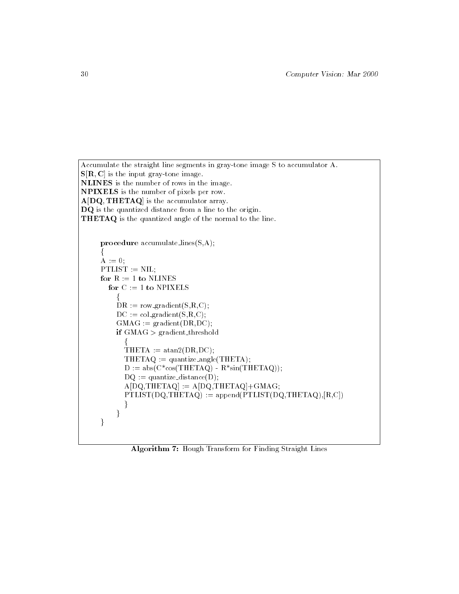```
Accumulate the straight line segments in gray-tone image S to accumulator A.
S[R, C] is the input gray-tone image.
NLINES is the number of rows in the image.
NPIXELS is the number of pixels per row. A[DQ, THETAQ] is the accumulator array.
DQ is the quantized distance from a line to the origin.
THETAQ is the quantized angle of the normal to the line.
     procedure accumulate lines(S,A);
     A := 0;PTLIST := NIL;
     for R := 1 to NLINES
       for C := 1 to NPIXELS
          DR := row\_gradient(S,R,C);DC := col\_gradient(S,R,C);GMAC := gradient(DR, DC);if GMAG > gradient_{threshold}HETA := \text{atan2(DR,DC)};THETAQ := quantize_angle(THETA);
           D := abs(C * cos(THETAQ) - R * sin(THETAQ));DQ := quantize_distance(D);
           A[DQ,THETAQ] := A[DQ,THETAQ]+GMAG;PTLIST(DQ, THETAQ) := append(PTLIST(DQ, THETAQ), [R, C])g
          g
     g
```
Algorithm 7: Hough Transform for Finding Straight Lines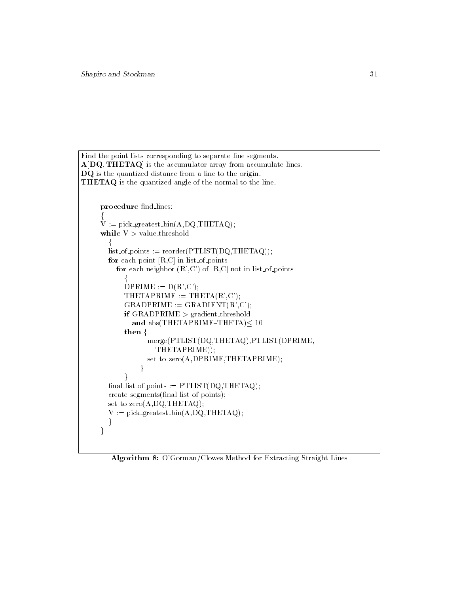```
Find the point lists corresponding to separate line segments.
A[DQ, THETAQ] is the accumulator array from accumulate lines.
DQ is the quantized distance from a line to the origin.
THETAQ is the quantized angle of the normal to the line.
      procedure find_lines;
       V := \text{pick\_greatest\_bin(A, DQ, THETAQ)};while V > value_threshold
         list_of_points := reorder(PTLIST(DQ,THETAQ));
         for each point [R,C] in list of points
            for each neighbor (R', C') of [R, C] not in list of points
               DPRIME := D(R', C');THETAPRIME := THETA(R', C');
               GRADPRIME := GRADIENT(R', C');if GRADPRIME > gradient threshold
                 and abs(THETAPRIME-THETA)\leq 10then \{f
merge(PTLIST(DQ,THETAQ),PTLIST(DPRIME,
                          THETAPRIME));
                       set to zero(A,DPRIME,THETAPRIME);
                     g
               \mathcal{E}final\_list_of\_points := PTLIST(DQ, THETAQ);create_segments(final_list_of_points);
         set to zero(A,DQ,THETAQ);
         V := pick\_greatest\_bin(A, DQ, THETAG);g
       general e la posta de la posta de la posta de la posta de la posta de la posta de la posta de la posta de la p<br>De la posta de la posta de la posta de la posta de la posta de la posta de la posta de la posta de la posta de
```
Algorithm 8: O'Gorman/Clowes Method for Extracting Straight Lines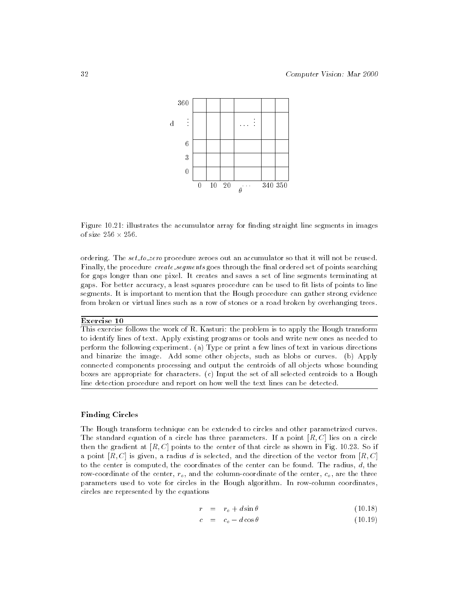

Figure 10.21: illustrates the accumulator array for finding straight line segments in images

ordering. The set to zero procedure zeroes out an accumulator so that it will not be reused. Finally, the procedure create\_segments goes through the final ordered set of points searching for gaps longer than one pixel. It creates and saves a set of line segments terminating at gaps. For better accuracy, a least squares procedure can be used to fit lists of points to line segments. It is important to mention that the Hough procedure can gather strong evidence from broken or virtual lines such as a row of stones or a road broken by overhanging trees.

## Exercise 10

This exercise follows the work of R. Kasturi: the problem is to apply the Hough transform to identify lines of text. Apply existing programs or tools and write new ones as needed to perform the following experiment. (a) Type or print a few lines of text in various directions and binarize the image. Add some other objects, such as blobs or curves. (b) Apply connected components processing and output the centroids of all objects whose bounding boxes are appropriate for characters. (c) Input the set of all selected centroids to a Hough line detection procedure and report on how well the text lines can be detected.

#### Finding Circles

The Hough transform technique can be extended to circles and other parametrized curves. The standard equation of a circle has three parameters. If a point  $[R, C]$  lies on a circle then the gradient at  $[R, C]$  points to the center of that circle as shown in Fig. 10.23. So if a point  $[R, C]$  is given, a radius d is selected, and the direction of the vector from  $[R, C]$ to the center is computed, the coordinates of the center can be found. The radius,  $d$ , the row-coordinate of the center,  $r_o$ , and the column-coordinate of the center,  $c_o$ , are the three parameters used to vote for circles in the Hough algorithm. In row-column coordinates, circles are represented by the equations

$$
r = r_o + d \sin \theta \tag{10.18}
$$

$$
c = c_o - d\cos\theta \tag{10.19}
$$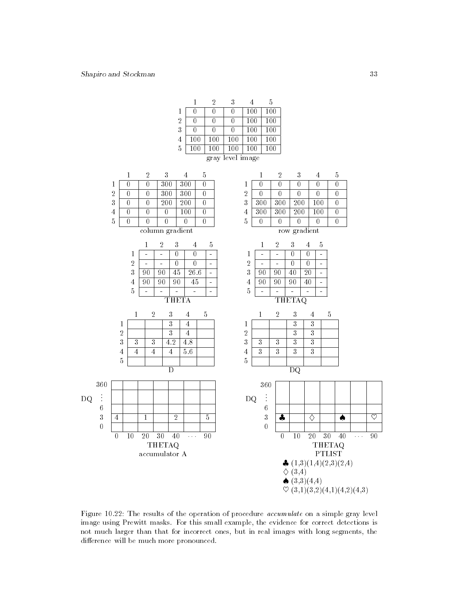360

0

. . . 6

DQ

|                  |                                 | 2   | 3   |     | 5   |  |  |  |  |
|------------------|---------------------------------|-----|-----|-----|-----|--|--|--|--|
|                  |                                 |     |     | 100 | 100 |  |  |  |  |
| $\overline{2}$   |                                 |     |     | 100 | 100 |  |  |  |  |
| $\sqrt{3}$       |                                 | Ω   |     | 100 | 100 |  |  |  |  |
| 4                | 100                             | 100 | 100 | 100 | 100 |  |  |  |  |
| 5                | 100<br>100<br>100<br>100<br>100 |     |     |     |     |  |  |  |  |
| gray level image |                                 |     |     |     |     |  |  |  |  |

|            | 2 | 3   |     | 5 |
|------------|---|-----|-----|---|
| 1          |   | 300 | 300 |   |
| $\sqrt{2}$ |   | 300 | 300 |   |
| 3          |   | 200 | 200 |   |
| 4          |   |     | 100 |   |
| 5          |   |     |     |   |

column gradient



 $0 \quad 10 \quad 20 \quad 30 \quad 40 \quad \cdots$ THETAQ accumulator A



 $\overline{0}$  $\overline{0}$ 1 - - 0 0 -  $\overline{a}$ 2 - - 0 0 - 3 90 90 40 20 -  $4 \overline{90} \overline{90} \overline{90} \overline{90} \overline{40}$  -5 - - - - - THETAQ 1 3 3





~ (3,1)(3,2)(4,1)(4,2)(4,3)

Figure 10.22: The results of the operation of procedure accumulate on a simple gray level image using Prewitt masks. For this small example, the evidence for correct detections is not much larger than that for incorrect ones, but in real images with long segments, the difference will be much more pronounced.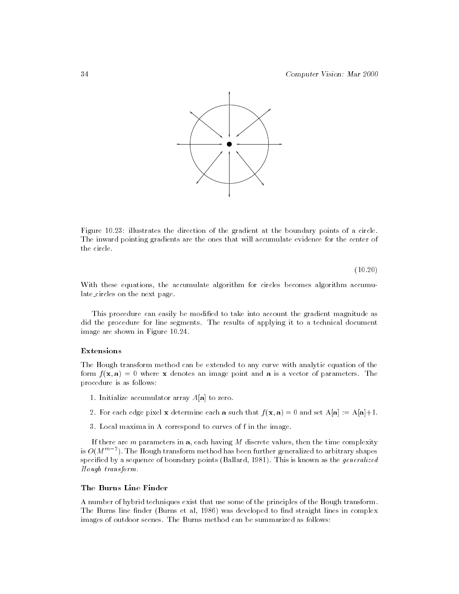

Figure 10.23: illustrates the direction of the gradient at the boundary points of a circle. The inward pointing gradients are the ones that will accumulate evidence for the center of the circle.

(10.20)

With these equations, the accumulate algorithm for circles becomes algorithm accumulate circles on the next page.

This procedure can easily be modified to take into account the gradient magnitude as did the procedure for line segments. The results of applying it to a technical document image are shown in Figure 10.24.

# Extensions

The Hough transform method can be extended to any curve with analytic equation of the form  $f(\mathbf{x}, \mathbf{a}) = 0$  where x denotes an image point and a is a vector of parameters. The procedure is as follows:

- 1. Initialize accumulator array  $A[\mathbf{a}]$  to zero.
- 2. For each edge pixel **x** determine each **a** such that  $f(\mathbf{x}, \mathbf{a}) = 0$  and set  $A[\mathbf{a}] := A[\mathbf{a}] + 1$ .
- 3. Local maxima in A correspond to curves of f in the image.

If there are  $m$  parameters in  $a$ , each having  $M$  discrete values, then the time complexity is  $O(M^{m+1})$ . The Hough transform method has been further generalized to arbitrary shapes  $\blacksquare$ specified by a sequence of boundary points (Ballard, 1981). This is known as the *generalized* Hough transform.

#### The Burns Line Finder

A number of hybrid techniques exist that use some of the principles of the Hough transform. The Burns line finder (Burns et al, 1986) was developed to find straight lines in complex images of outdoor scenes. The Burns method can be summarized as follows: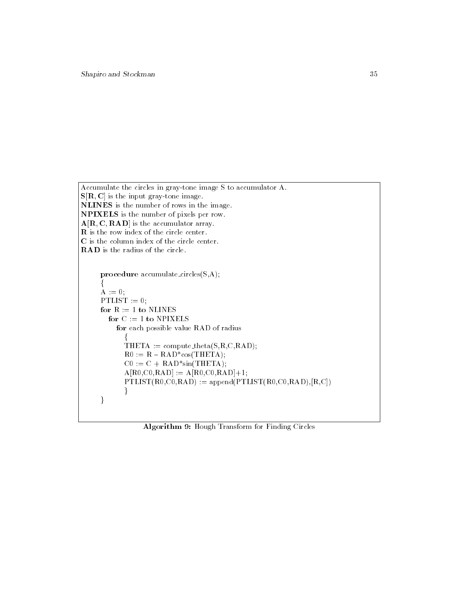```
Accumulate the circles in gray-tone image S to accumulator A.
S[R, C] is the input gray-tone image.
NLINES is the number of rows in the image.
NPIXELS is the number of pixels per row. A[R, C, RAD] is the accumulator array.
R is the row index of the circle center.
C is the column index of the circle center.
RAD is the radius of the circle.
     procedure accumulate circles(S,A);
      A := 0;PTLIST := 0;
```

```
for R := 1 to NLINES
  for C := 1 to NPIXELS
    for each possible value RAD of radius
       \text{THETA} := \text{compute\_theta}(\text{S,R,C,RAD});R0 := R - RAD*cos(THETA);CO := C + RAD*sin(THETA);A[RO, CO, RAD] := A[RO, CO, RAD] + 1;PTLIST(R0, CO, RAD) := append(PTLIST(R0, CO, RAD), [R, C])ger i sta
g
```
Algorithm 9: Hough Transform for Finding Circles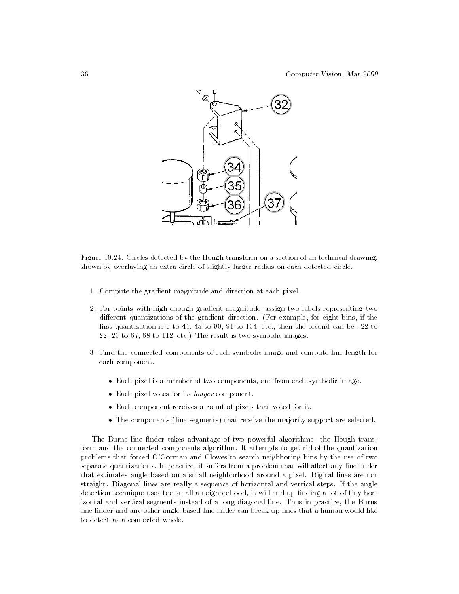

Figure 10.24: Circles detected by the Hough transform on a section of an technical drawing, shown by overlaying an extra circle of slightly larger radius on each detected circle.

- 1. Compute the gradient magnitude and direction at each pixel.
- 2. For points with high enough gradient magnitude, assign two labels representing two different quantizations of the gradient direction. (For example, for eight bins, if the first quantization is 0 to 44, 45 to 90, 91 to 134, etc., then the second can be  $-22$  to 22, 23 to 67, 68 to 112, etc.) The result is two symbolic images.
- 3. Find the connected components of each symbolic image and compute line length for each component.
	- Each pixel is a member of two components, one from each symbolic image.
	- Each pixel votes for its longer component.
	- Each component receives a count of pixels that voted for it.
	- The components (line segments) that receive the majority support are selected.

The Burns line finder takes advantage of two powerful algorithms: the Hough transform and the connected components algorithm. It attempts to get rid of the quantization problems that forced O'Gorman and Clowes to search neighboring bins by the use of two separate quantizations. In practice, it suffers from a problem that will affect any line finder that estimates angle based on a small neighborhood around a pixel. Digital lines are not straight. Diagonal lines are really a sequence of horizontal and vertical steps. If the angle detection technique uses too small a neighborhood, it will end up finding a lot of tiny horizontal and vertical segments instead of a long diagonal line. Thus in practice, the Burns line finder and any other angle-based line finder can break up lines that a human would like to detect as a connected whole.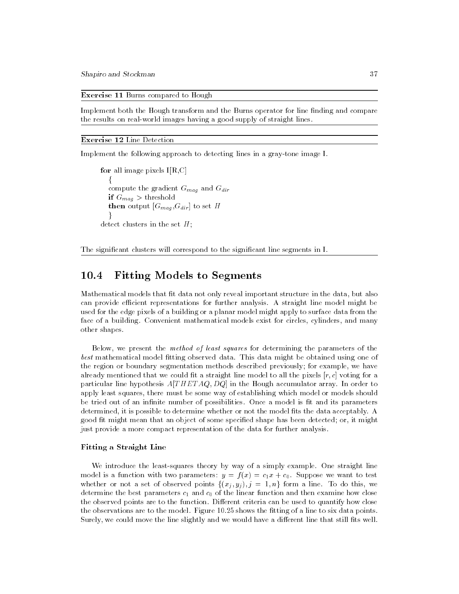Shapiro and Stockman 37

Exercise 11 Burns compared to Hough

Implement both the Hough transform and the Burns operator for line finding and compare the results on real-world images having a good supply of straight lines.

#### Exercise 12 Line Detection

Implement the following approach to detecting lines in a gray-tone image I.

```
for all image pixels I[R,C]compute the gradient G_{mag} and G_{dir}if G_{mag} > threshold
  then output [G_{mag}, G_{dir}] to set H
\det detect clusters in the set H;
```
The significant clusters will correspond to the significant line segments in I.

#### 10.4Fitting Models to Segments

Mathematical models that fit data not only reveal important structure in the data, but also can provide efficient representations for further analysis. A straight line model might be used for the edge pixels of a building or a planar model might apply to surface data from the face of a building. Convenient mathematical models exist for circles, cylinders, and many other shapes.

Below, we present the method of least squares for determining the parameters of the best mathematical model fitting observed data. This data might be obtained using one of the region or boundary segmentation methods described previously; for example, we have already mentioned that we could fit a straight line model to all the pixels  $[r, c]$  voting for a particular line hypothesis  $A[THETAQ, DQ]$  in the Hough accumulator array. In order to apply least squares, there must be some way of establishing which model or models should be tried out of an infinite number of possibilities. Once a model is fit and its parameters determined, it is possible to determine whether or not the model fits the data acceptably. A good fit might mean that an object of some specified shape has been detected; or, it might just provide a more compact representation of the data for further analysis.

### Fitting a Straight Line

We introduce the least-squares theory by way of a simply example. One straight line model is a function with two parameters:  $y = f(x) = c_1 x + c_0$ . Suppose we want to test determine the best parameters  $c_1$  and  $c_0$  of the linear function and then examine how close the observed points are to the function. Different criteria can be used to quantify how close the observations are to the model. Figure 10.25 shows the fitting of a line to six data points. Surely, we could move the line slightly and we would have a different line that still fits well.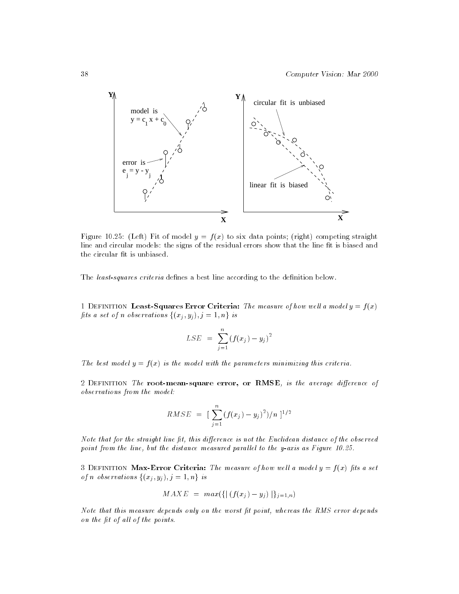

Figure 10.25: (Left) Fit of model  $y = f(x)$  to six data points; (right) competing straight line and circular models: the signs of the residual errors show that the line fit is biased and the circular fit is unbiased.

The least-squares criteria defines a best line according to the definition below.

1 DEFINITION Least-Squares Error Criteria: The measure of how well a model  $y = f(x)$  $\left(\begin{array}{ccc} 1 & 0 & 0 \\ 0 & 0 & 1 \end{array}\right)$ 

$$
LSE = \sum_{j=1}^{n} (f(x_j) - y_j)^2
$$

The best model  $y = f(x)$  is the model with the parameters minimizing this criteria.

2 DEFINITION The root-mean-square error, or RMSE, is the average difference of observations from the model:

$$
RMSE = \left[\sum_{j=1}^{n} (f(x_j) - y_j)^2)/n\right]^{1/2}
$$

Note that for the straight line fit, this difference is not the Euclidean distance of the observed point from the line, but the distance measured parallel to the y-axis as Figure  $10.25$ .

3 DEFINITION Max-Error Criteria: The measure of how well a model  $y = f(x)$  fits a set of n observations  $\{(x_j, y_j), j = 1, n\}$  is

$$
MAXE = max({\{ | (f(x_j) - y_j) | }_{j=1,n})}
$$

Note that this measure depends only on the worst fit point, whereas the RMS error depends on the fit of all of the points.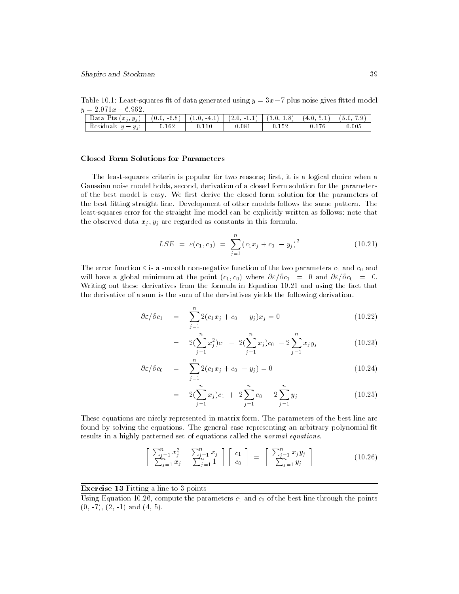Table 10.1: Least-squares fit of data generated using  $y = 3x - 7$  plus noise gives fitted model

| ____<br>___                                             |                 |               |              |      |        |                                     |
|---------------------------------------------------------|-----------------|---------------|--------------|------|--------|-------------------------------------|
| $\mathbf l$<br>$j, y_j$<br>Data<br>Pts<br>an a<br>$x_i$ | $-6.8$<br>(0.0. | $-4.1$<br>. . | (2.0)<br>- 1 | 3.0. | 4.U    | $\tilde{\phantom{a}}$<br>Q<br>' 5.U |
| Residuals<br>$\sim$<br>$y_j$                            | $-0.162$        |               | .081         |      | $-0.1$ | 0.005<br>-0                         |

#### **Closed Form Solutions for Parameters**

The least-squares criteria is popular for two reasons; first, it is a logical choice when a Gaussian noise model holds, second, derivation of a closed form solution for the parameters of the best model is easy. We first derive the closed form solution for the parameters of the best fitting straight line. Development of other models follows the same pattern. The least-squares error for the straight line model can be explicitly written as follows: note that the observed data  $x_j$ ,  $y_j$  are regarded as constants in this formula.

$$
LSE = \varepsilon(c_1, c_0) = \sum_{j=1}^{n} (c_1 x_j + c_0 - y_j)^2
$$
 (10.21)

The error function  $\varepsilon$  is a smooth non-negative function of the two parameters  $c_1$  and  $c_0$  and will have a global minimum at the point  $(c_1, c_0)$  where  $\partial \varepsilon / \partial c_1 = 0$  and  $\partial \varepsilon / \partial c_0 = 0$ . Writing out these derivatives from the formula in Equation 10.21 and using the fact that the derivative of a sum is the sum of the derviatives yields the following derivation.

$$
\partial \varepsilon / \partial c_1 = \sum_{j=1}^n 2(c_1 x_j + c_0 - y_j) x_j = 0 \qquad (10.22)
$$

$$
= 2(\sum_{j=1}^{n} x_j^2)c_1 + 2(\sum_{j=1}^{n} x_j)c_0 - 2\sum_{j=1}^{n} x_j y_j
$$
 (10.23)

$$
\partial \varepsilon / \partial c_0 = \sum_{j=1}^n 2(c_1 x_j + c_0 - y_j) = 0 \qquad (10.24)
$$

$$
= 2(\sum_{j=1}^{n} x_j)c_1 + 2\sum_{j=1}^{n} c_0 - 2\sum_{j=1}^{n} y_j
$$
 (10.25)

These equations are nicely represented in matrix form. The parameters of the best line are found by solving the equations. The general case representing an arbitrary polynomial fit results in a highly patterned set of equations called the normal equations.

$$
\left[\begin{array}{cc} \sum_{j=1}^{n} x_j^2 & \sum_{j=1}^{n} x_j \\ \sum_{j=1}^{n} x_j & \sum_{j=1}^{n} 1 \end{array}\right] \left[\begin{array}{c} c_1 \\ c_0 \end{array}\right] = \left[\begin{array}{c} \sum_{j=1}^{n} x_j y_j \\ \sum_{j=1}^{n} y_j \end{array}\right] \tag{10.26}
$$

## Exercise 13 Fitting a line to 3 points

Using Equation 10.26, compute the parameters  $c_1$  and  $c_0$  of the best line through the points  $(0, -7), (2, -1)$  and  $(4, 5)$ .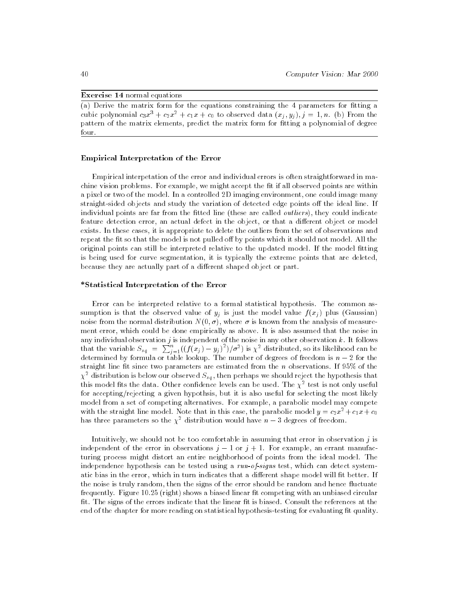## Exercise 14 normal equations

 $(a)$  Derive the matrix form for the equations constraining the 4 parameters for fitting a cubic polynomial  $c_3x^3 + c_2x^2 + c_1x + c_0$  to observed data  $(x_j, y_j), j = 1, n$ . (b) From the pattern of the matrix elements, predict the matrix form for fitting a polynomial of degree four.

#### Empirical Interpretation of the Error

Empirical interpetation of the error and individual errors is often straightforward in machine vision problems. For example, we might accept the fit if all observed points are within a pixel or two of the model. In a controlled 2D imaging environment, one could image many straight-sided objects and study the variation of detected edge points off the ideal line. If individual points are far from the fitted line (these are called *outliers*), they could indicate feature detection error, an actual defect in the object, or that a different object or model exists. In these cases, it is appropriate to delete the outliers from the set of observations and repeat the fit so that the model is not pulled off by points which it should not model. All the original points can still be interpreted relative to the updated model. If the model fitting is being used for curve segmentation, it is typically the extreme points that are deleted, because they are actually part of a different shaped object or part.

#### \*Statistical Interpretation of the Error

Error can be interpreted relative to a formal statistical hypothesis. The common assumption is that the observed value of  $y_i$  is just the model value  $f(x_i)$  plus (Gaussian) noise from the normal distribution  $N(0, \sigma)$ , where  $\sigma$  is known from the analysis of measurement error, which could be done empirically as above. It is also assumed that the noise in any individual observation j is independent of the noise in any other observation  $k$ . It follows that the variable  $S_{sq} = \sum_{j=1}^{n} ((f(x_j) - y_j)^2)/\sigma^2)$  is  $\chi^2$  distributed, so its likelihood can be determined by formula or table lookup. The number of degrees of freedom is n straight line fit since two parameters are estimated from the *n* observations. If 95% of the  $\chi^2$  distribution is below our observed  $S_{sq}$ , then perhaps we should reject the hypothesis that this model fits the data. Other confidence levels can be used. The  $\chi^\ast$  test is not only useful for accepting/rejecting a given hypothsis, but it is also useful for selecting the most likely model from a set of competing alternatives. For example, a parabolic model may compete with the straight line model. Note that in this case, the parabolic model  $y = c_2x^2 + c_1x + c_0$ has three parameters so the  $\chi^{\perp}$  distribution would have  $n-\mathfrak{z}$  degrees of freedom.

Intuitively, we should not be too comfortable in assuming that error in observation  $j$  is independent of the error in observations  $j-1$  or  $j+1$ . For example, an errant manufacturing process might distort an entire neighborhood of points from the ideal model. The independence hypothesis can be tested using a run-of-signs test, which can detect systematic bias in the error, which in turn indicates that a different shape model will fit better. If the noise is truly random, then the signs of the error should be random and hence fluctuate frequently. Figure 10.25 (right) shows a biased linear fit competing with an unbiased circular fit. The signs of the errors indicate that the linear fit is biased. Consult the references at the end of the chapter for more reading on statistical hypothesis-testing for evaluating fit quality.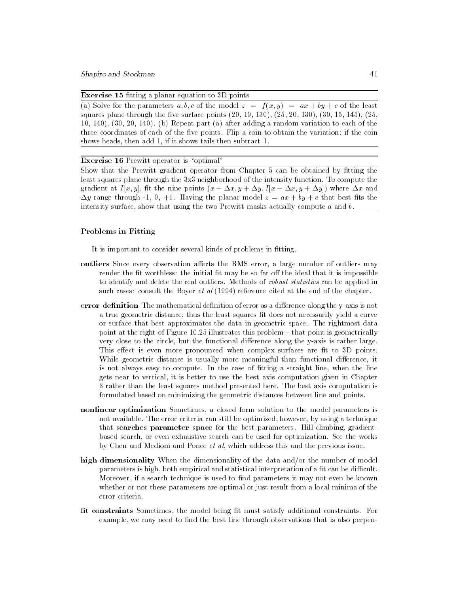**Exercise 15** fitting a planar equation to  $3D$  points

(a) Solve for the parameters  $a, b, c$  of the model  $z = f(x, y) = ax + by + c$  of the least squares plane through the five surface points  $(20, 10, 130)$ ,  $(25, 20, 130)$ ,  $(30, 15, 145)$ ,  $(25,$ 10, 140), (30, 20, 140). (b) Repeat part (a) after adding a random variation to each of the three coordinates of each of the five points. Flip a coin to obtain the variation: if the coin shows heads, then add 1, if it shows tails then subtract 1.

# Exercise 16 Prewitt operator is "optimal"

Show that the Prewitt gradient operator from Chapter 5 can be obtained by fitting the least squares plane through the 3x3 neighborhood of the intensity function. To compute the gradient at  $I[x, y]$ , fit the nine points  $(x + \Delta x, y + \Delta y, I[x + \Delta x, y + \Delta y])$  where  $\Delta x$  and  $\Delta y$  range through -1, 0, +1. Having the planar model  $z = ax + by + c$  that best fits the intensity surface, show that using the two Prewitt masks actually compute  $a$  and  $b$ .

## Problems in Fitting

It is important to consider several kinds of problems in fitting.

- outliers Since every observation affects the RMS error, a large number of outliers may render the fit worthless: the initial fit may be so far off the ideal that it is impossible to identify and delete the real outliers. Methods of robust statistics can be applied in such cases: consult the Boyer *et al* (1994) reference cited at the end of the chapter.
- error definition The mathematical definition of error as a difference along the y-axis is not a true geometric distance; thus the least squares fit does not necessarily yield a curve or surface that best approximates the data in geometric space. The rightmost data point at the right of Figure  $10.25$  illustrates this problem  $-$  that point is geometrically very close to the circle, but the functional difference along the y-axis is rather large. This effect is even more pronounced when complex surfaces are fit to 3D points. While geometric distance is usually more meaningful than functional difference, it is not always easy to compute. In the case of fitting a straight line, when the line gets near to vertical, it is better to use the best axis computation given in Chapter 3 rather than the least squares method presented here. The best axis computation is formulated based on minimizing the geometric distances between line and points.
- nonlinear optimization Sometimes, a closed form solution to the model parameters is not available. The error criteria can still be optimized, however, by using a technique that searches parameter space for the best parameters. Hill-climbing, gradientbased search, or even exhaustive search can be used for optimization. See the works by Chen and Medioni and Ponce et al, which address this and the previous issue.
- high dimensionality When the dimensionality of the data and/or the number of model parameters is high, both empirical and statistical interpretation of a fit can be difficult. Moreover, if a search technique is used to find parameters it may not even be known whether or not these parameters are optimal or just result from a local minima of the error criteria.
- fit constraints Sometimes, the model being fit must satisfy additional constraints. For example, we may need to find the best line through observations that is also perpen-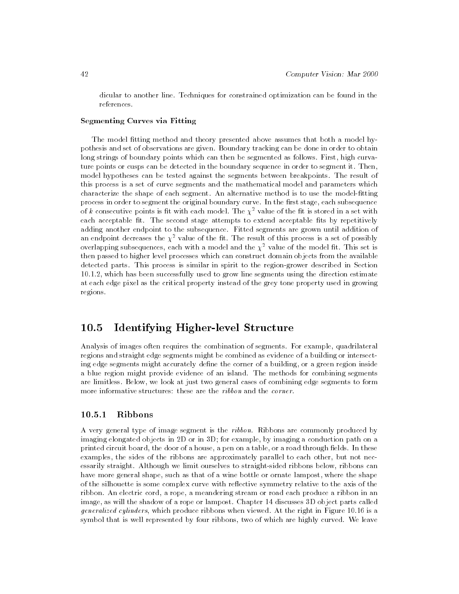dicular to another line. Techniques for constrained optimization can be found in the references.

## Segmenting Curves via Fitting

The model fitting method and theory presented above assumes that both a model hypothesis and set of observations are given. Boundary tracking can be done in order to obtain long strings of boundary points which can then be segmented as follows. First, high curvature points or cusps can be detected in the boundary sequence in order to segment it. Then, model hypotheses can be tested against the segments between breakpoints. The result of this process is a set of curve segments and the mathematical model and parameters which characterize the shape of each segment. An alternative method is to use the model-fitting process in order to segment the original boundary curve. In the first stage, each subsequence of k consecutive points is fit with each model. The  $\chi^2$  value of the fit is stored in a set with each acceptable fit. The second stage attempts to extend acceptable fits by repetitively adding another endpoint to the subsequence. Fitted segments are grown until addition of an endpoint decreases the  $\chi$  -value of the itt. The result of this process is a set of possibly  $$ overlapping subsequences, each with a model and the  $\chi$  -value of the model it. This set is then passed to higher level processes which can construct domain objects from the available detected parts. This process is similar in spirit to the region-grower described in Section 10.1.2, which has been successfully used to grow line segments using the direction estimate at each edge pixel as the critical property instead of the grey tone property used in growing regions.

#### 10.5Identifying Higher-level Structure

Analysis of images often requires the combination of segments. For example, quadrilateral regions and straight edge segments might be combined as evidence of a building or intersecting edge segments might accurately define the corner of a building, or a green region inside a blue region might provide evidence of an island. The methods for combining segments are limitless. Below, we look at just two general cases of combining edge segments to form more informative structures: these are the ribbon and the corner.

# 10.5.1 Ribbons

A very general type of image segment is the ribbon. Ribbons are commonly produced by imaging elongated objects in 2D or in 3D; for example, by imaging a conduction path on a printed circuit board, the door of a house, a pen on a table, or a road through fields. In these examples, the sides of the ribbons are approximately parallel to each other, but not necessarily straight. Although we limit ourselves to straight-sided ribbons below, ribbons can have more general shape, such as that of a wine bottle or ornate lampost, where the shape of the silhouette is some complex curve with reflective symmetry relative to the axis of the ribbon. An electric cord, a rope, a meandering stream or road each produce a ribbon in an image, as will the shadow of a rope or lampost. Chapter 14 discusses 3D object parts called generalized cylinders, which produce ribbons when viewed. At the right in Figure 10.16 is a symbol that is well represented by four ribbons, two of which are highly curved. We leave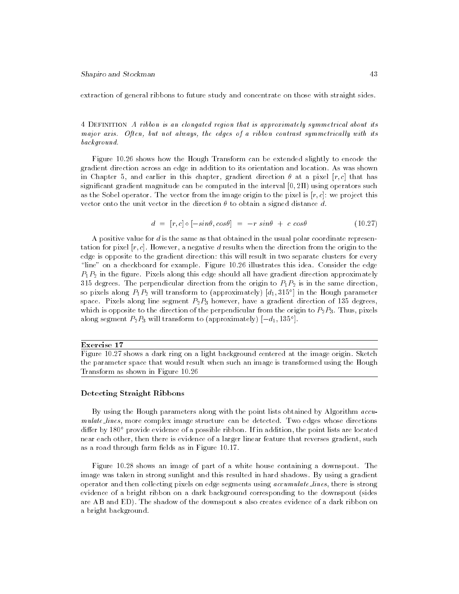extraction of general ribbons to future study and concentrate on those with straight sides.

4 Definition A ribbon is an elongated region that is approximately symmetrical about its major axis. Often, but not always, the edges of a ribbon contrast symmetrically with its background.

Figure 10.26 shows how the Hough Transform can be extended slightly to encode the gradient direction across an edge in addition to its orientation and location. As was shown in Chapter 5, and earlier in this chapter, gradient direction  $\theta$  at a pixel [r, c] that has significant gradient magnitude can be computed in the interval  $[0, 2II)$  using operators such as the Sobel operator. The vector from the image origin to the pixel is  $[r, c]$ : we project this vector onto the unit vector in the direction  $\theta$  to obtain a signed distance d.

$$
d = [r, c] \circ [-\sin\theta, \cos\theta] = -r \sin\theta + c \cos\theta \qquad (10.27)
$$

A positive value for d is the same as that obtained in the usual polar coordinate representation for pixel  $[r, c]$ . However, a negative d results when the direction from the origin to the edge is opposite to the gradient direction: this will result in two separate clusters for every \line" on a checkboard for example. Figure 10.26 illustrates this idea. Consider the edge  $P_1P_2$  in the figure. Pixels along this edge should all have gradient direction approximately 315 degrees. The perpendicular direction from the origin to  $P_1P_2$  is in the same direction, so pixels along  $P_1P_2$  will transform to (approximately)  $\lceil d_1, 315 \rceil$  in the Hough parameter space. Pixels along line segment  $P_2P_3$  however, have a gradient direction of 135 degrees, which is opposite to the direction of the perpendicular from the origin to  $P_2P_3$ . Thus, pixels along segment  $P_2P_3$  will transform to (approximately)  $[-a_1, 135^{\circ}]$ .

#### Exercise 17

Figure 10.27 shows a dark ring on a light background centered at the image origin. Sketch the parameter space that would result when such an image is transformed using the Hough Transform as shown in Figure 10.26

#### Detecting Straight Ribbons

By using the Hough parameters along with the point lists obtained by Algorithm accu mulate lines, more complex image structure can be detected. Two edges whose directions differ by 180° provide evidence of a possible ribbon. If in addition, the point lists are located near each other, then there is evidence of a larger linear feature that reverses gradient, such as a road through farm fields as in Figure 10.17.

Figure 10.28 shows an image of part of a white house containing a downspout. The image was taken in strong sunlight and this resulted in hard shadows. By using a gradient operator and then collecting pixels on edge segments using accumulate lines, there is strong evidence of a bright ribbon on a dark background corresponding to the downspout (sides are AB and ED). The shadow of the downspout s also creates evidence of a dark ribbon on a bright background.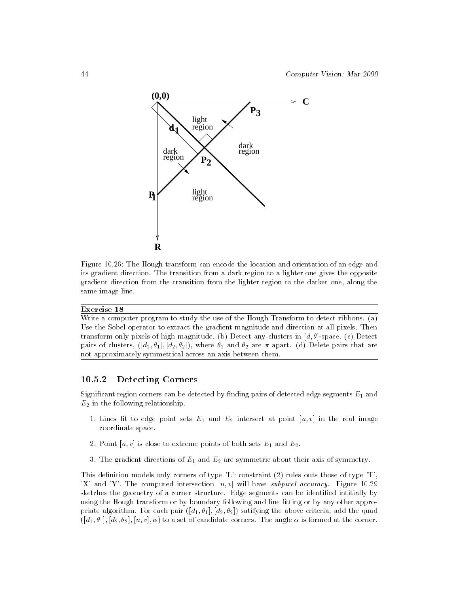

Figure 10.26: The Hough transform can encode the location and orientation of an edge and its gradient direction. The transition from a dark region to a lighter one gives the opposite gradient direction from the transition from the lighter region to the darker one, along the same image line.

## Exercise 18

Write a computer program to study the use of the Hough Transform to detect ribbons. (a) Use the Sobel operator to extract the gradient magnitude and direction at all pixels. Then transform only pixels of high magnitude. (b) Detect any clusters in  $[d, \theta]$ -space. (c) Detect pairs of clusters,  $([d_1, \theta_1], [d_2, \theta_2])$ , where  $\theta_1$  and  $\theta_2$  are  $\pi$  apart. (d) Delete pairs that are not approximately symmetrical across an axis between them.

# 10.5.2 Detecting Corners

Significant region corners can be detected by finding pairs of detected edge segments  $E_1$  and  $E_2$  in the following relationship.

- 1. Lines fit to edge point sets  $E_1$  and  $E_2$  intersect at point  $[u, v]$  in the real image coordinate space.
- 2. Point  $[u, v]$  is close to extreme points of both sets  $E_1$  and  $E_2$ .
- 3. The gradient directions of  $E_1$  and  $E_2$  are symmetric about their axis of symmetry.

This definition models only corners of type  $'L'$ : constraint  $(2)$  rules outs those of type  $'T'$ 'X' and 'Y'. The computed intersection  $[u, v]$  will have *subpixel accuracy*. Figure 10.29 sketches the geometry of a corner structure. Edge segments can be identified intitially by using the Hough transform or by boundary following and line fitting or by any other appropriate algorithm. For each pair  $([d_1, \theta_1], [d_2, \theta_2])$  satifying the above criteria, add the quad  $([d_1, \theta_1], [d_2, \theta_2], [u, v], \alpha)$  to a set of candidate corners. The angle  $\alpha$  is formed at the corner.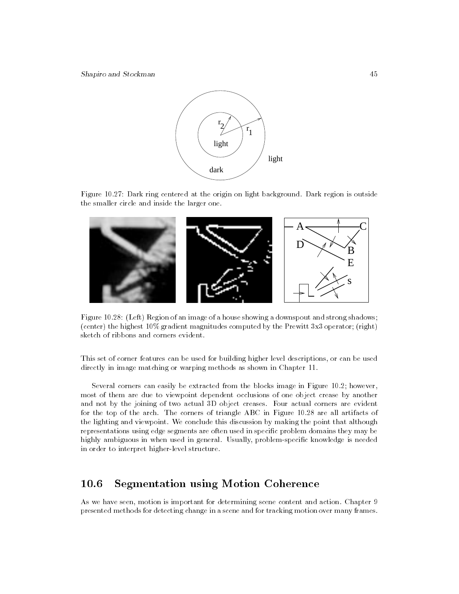Shapiro and Stockman 45



Figure 10.27: Dark ring centered at the origin on light background. Dark region is outside the smaller circle and inside the larger one.



Figure 10.28: (Left) Region of an image of a house showing a downspout and strong shadows; (center) the highest 10% gradient magnitudes computed by the Prewitt 3x3 operator; (right) sketch of ribbons and corners evident.

This set of corner features can be used for building higher level descriptions, or can be used directly in image matching or warping methods as shown in Chapter 11.

Several corners can easily be extracted from the blocks image in Figure 10.2; however, most of them are due to viewpoint dependent occlusions of one object crease by another and not by the joining of two actual 3D object creases. Four actual corners are evident for the top of the arch. The corners of triangle ABC in Figure 10.28 are all artifacts of the lighting and viewpoint. We conclude this discussion by making the point that although representations using edge segments are often used in specific problem domains they may be highly ambiguous in when used in general. Usually, problem-specific knowledge is needed in order to interpret higher-level structure.

#### 10.6Segmentation using Motion Coherence

As we have seen, motion is important for determining scene content and action. Chapter 9 presented methods for detecting change in a scene and for tracking motion over many frames.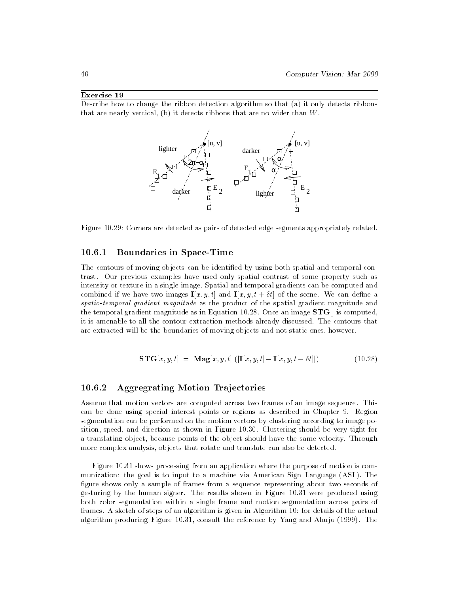# Exercise 19

Describe how to change the ribbon detection algorithm so that (a) it only detects ribbons that are nearly vertical, (b) it detects ribbons that are no wider than W.



Figure 10.29: Corners are detected as pairs of detected edge segments appropriately related.

# 10.6.1 Boundaries in Space-Time

The contours of moving objects can be identied by using both spatial and temporal contrast. Our previous examples have used only spatial contrast of some property such as intensity or texture in a single image. Spatial and temporal gradients can be computed and combined if we have two images  $\mathbf{I}[x, y, t]$  and  $\mathbf{I}[x, y, t + \delta t]$  of the scene. We can define a spatio-temporal gradient magnitude as the product of the spatial gradient magnitude and the temporal gradient magnitude as in Equation 10.28. Once an image  $STG$  is computed, it is amenable to all the contour extraction methods already discussed. The contours that are extracted will be the boundaries of moving objects and not static ones, however.

$$
\mathbf{STG}[x, y, t] = \mathbf{Mag}[x, y, t] \left( [\mathbf{I}[x, y, t] - \mathbf{I}[x, y, t + \delta t]] \right) \tag{10.28}
$$

# 10.6.2 Aggregrating Motion Trajectories

Assume that motion vectors are computed across two frames of an image sequence. This can be done using special interest points or regions as described in Chapter 9. Region segmentation can be performed on the motion vectors by clustering according to image position, speed, and direction as shown in Figure 10.30. Clustering should be very tight for a translating object, because points of the object should have the same velocity. Through more complex analysis, objects that rotate and translate can also be detected.

Figure 10.31 shows processing from an application where the purpose of motion is com munication: the goal is to input to a machine via American Sign Language (ASL). The figure shows only a sample of frames from a sequence representing about two seconds of gesturing by the human signer. The results shown in Figure 10.31 were produced using both color segmentation within a single frame and motion segmentation across pairs of frames. A sketch of steps of an algorithm is given in Algorithm 10: for details of the actual algorithm producing Figure 10.31, consult the reference by Yang and Ahuja (1999). The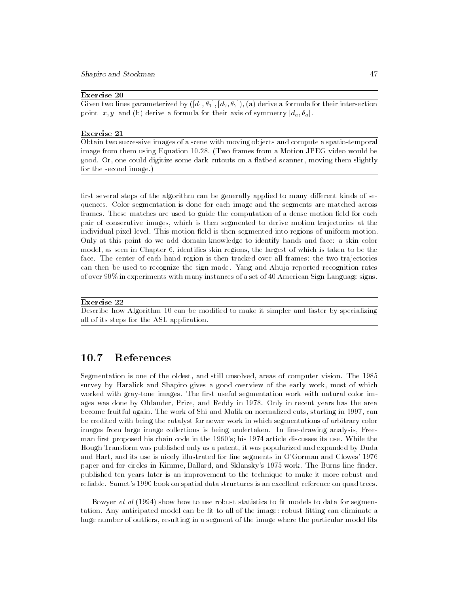Shapiro and Stockman 47

## Exercise 20

Given two lines parameterized by  $([d_1, \theta_1], [d_2, \theta_2])$ , (a) derive a formula for their intersection point  $[x, y]$  and (b) derive a formula for their axis of symmetry  $[d_a, \theta_a]$ .

## Exercise 21

Obtain two successive images of a scene with moving objects and compute a spatio-temporal image from them using Equation 10.28. (Two frames from a Motion JPEG video would be good. Or, one could digitize some dark cutouts on a flatbed scanner, moving them slightly for the second image.)

first several steps of the algorithm can be generally applied to many different kinds of sequences. Color segmentation is done for each image and the segments are matched across frames. These matches are used to guide the computation of a dense motion field for each pair of consecutive images, which is then segmented to derive motion trajectories at the individual pixel level. This motion field is then segmented into regions of uniform motion. Only at this point do we add domain knowledge to identify hands and face: a skin color model, as seen in Chapter 6, identifies skin regions, the largest of which is taken to be the face. The center of each hand region is then tracked over all frames: the two trajectories can then be used to recognize the sign made. Yang and Ahuja reported recognition rates of over 90% in experiments with many instances of a set of 40 American Sign Language signs.

#### Exercise 22

Describe how Algorithm 10 can be modified to make it simpler and faster by specializing all of its steps for the ASL application.

#### 10.7References

Segmentation is one of the oldest, and still unsolved, areas of computer vision. The 1985 survey by Haralick and Shapiro gives a good overview of the early work, most of which worked with gray-tone images. The first useful segmentation work with natural color images was done by Ohlander, Price, and Reddy in 1978. Only in recent years has the area become fruitful again. The work of Shi and Malik on normalized cuts, starting in 1997, can be credited with being the catalyst for newer work in which segmentations of arbitrary color images from large image collections is being undertaken. In line-drawing analysis, Free man first proposed his chain code in the 1960's; his 1974 article discusses its use. While the Hough Transform was published only as a patent, it was popularized and expanded by Duda and Hart, and its use is nicely illustrated for line segments in O'Gorman and Clowes' 1976 paper and for circles in Kimme, Ballard, and Sklansky's 1975 work. The Burns line finder, published ten years later is an improvement to the technique to make it more robust and reliable. Samet's 1990 book on spatial data structures is an excellent reference on quad trees.

Bowyer *et al* (1994) show how to use robust statistics to fit models to data for segmentation. Any anticipated model can be fit to all of the image: robust fitting can eliminate a huge number of outliers, resulting in a segment of the image where the particular model fits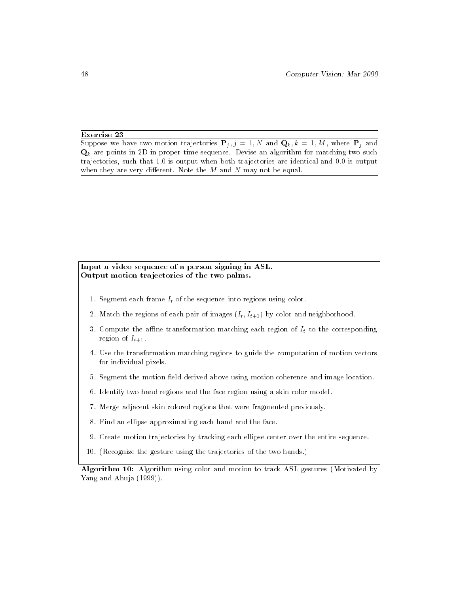# Exercise 23

Suppose we have two motion trajectories  $P_j$ ,  $j = 1, N$  and  $Q_k$ ,  $k = 1, M$ , where  $P_j$  and  $\mathbf{Q}_k$  are points in 2D in proper time sequence. Devise an algorithm for matching two such trajectories, such that 1.0 is output when both trajectories are identical and 0.0 is output when they are very different. Note the  $M$  and  $N$  may not be equal.

# Input a video sequence of a person signing in ASL. Output motion tra jectories of the two palms.

- 1. Segment each frame  $I_t$  of the sequence into regions using color.
- 2. Match the regions of each pair of images  $(I_t, I_{t+1})$  by color and neighborhood.
- 3. Compute the affine transformation matching each region of  $I_t$  to the corresponding region of  $I_{t+1}$ .
- 4. Use the transformation matching regions to guide the computation of motion vectors for individual pixels.
- 5. Segment the motion field derived above using motion coherence and image location.
- 6. Identify two hand regions and the face region using a skin color model.
- 7. Merge adjacent skin colored regions that were fragmented previously.
- 8. Find an ellipse approximating each hand and the face.
- 9. Create motion trajectories by tracking each ellipse center over the entire sequence.
- 10. (Recognize the gesture using the trajectories of the two hands.)

Algorithm 10: Algorithm using color and motion to track ASL gestures (Motivated by Yang and Ahuja (1999)).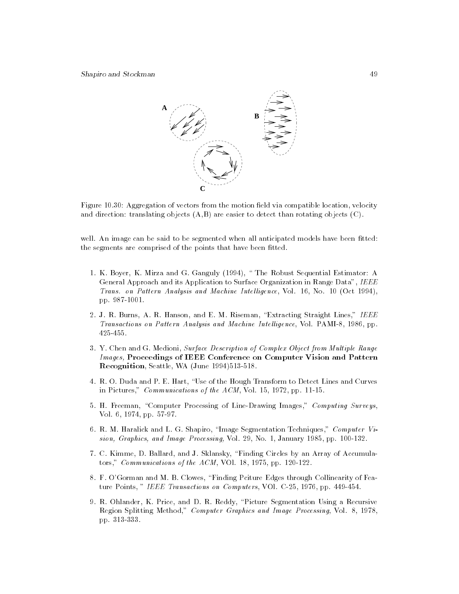

Figure 10.30: Aggregation of vectors from the motion field via compatible location, velocity and direction: translating objects  $(A, B)$  are easier to detect than rotating objects  $(C)$ .

well. An image can be said to be segmented when all anticipated models have been fitted: the segments are comprised of the points that have been fitted.

- 1. K. Boyer, K. Mirza and G. Ganguly (1994), \ The Robust Sequential Estimator: A General Approach and its Application to Surface Organization in Range Data", IEEE Trans. on Pattern Analysis and Machine Intelligence, Vol. 16, No. 10 (Oct 1994), pp. 987-1001.
- 2. J. R. Burns, A. R. Hanson, and E. M. Riseman, "Extracting Straight Lines," IEEE Transactions on Pattern Analysis and Machine Intel ligence, Vol. PAMI-8, 1986, pp. 425-455.
- 3. Y. Chen and G. Medioni, Surface Description of Complex Object from Multiple Range Images, Proceedings of IEEE Conference on Computer Vision and Pattern Recognition, Seattle, WA (June 1994)513-518.
- 4. R. O. Duda and P. E. Hart, \Use of the Hough Transform to Detect Lines and Curves in Pictures," Communications of the ACM, Vol. 15, 1972, pp. 11-15.
- 5. H. Freeman, "Computer Processing of Line-Drawing Images," Computing Surveys, Vol. 6, 1974, pp. 57-97.
- 6. R. M. Haralick and L. G. Shapiro, \Image Segmentation Techniques," Computer Vision, Graphics, and Image Processing, Vol. 29, No. 1, January 1985, pp. 100-132.
- 7. C. Kimme, D. Ballard, and J. Sklansky, \Finding Circles by an Array of Accumulators," Communications of the ACM, VOl. 18, 1975, pp. 120-122.
- 8. F. O'Gorman and M. B. Clowes, "Finding Pciture Edges through Collinearity of Feature Points, " IEEE Transactions on Computers, VOl. C-25, 1976, pp. 449-454.
- 9. R. Ohlander, K. Price, and D. R. Reddy, \Picture Segmentation Using a Recursive Region Splitting Method," Computer Graphics and Image Processing, Vol. 8, 1978, pp. 313-333.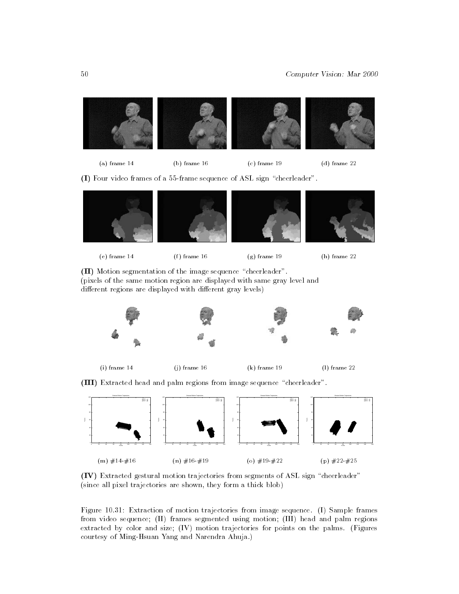



(b) frame 16 (c) frame 19 (d) frame 22

(I) Four video frames of a 55-frame sequence of ASL sign "cheerleader".









(II) Motion segmentation of the image sequence "cheerleader". (pixels of the same motion region are displayed with same gray level and different regions are displayed with different gray levels)



(i) frame 14

(j) frame 16 (k) frame 19 (l) frame 22

(III) Extracted head and palm regions from image sequence "cheerleader".



(IV) Extracted gestural motion trajectories from segments of ASL sign \cheerleader" (since all pixel trajectories are shown, they form a thick blob)

Figure 10.31: Extraction of motion trajectories from image sequence. (I) Sample frames from video sequence; (II) frames segmented using motion; (III) head and palm regions extracted by color and size; (IV) motion trajectories for points on the palms. (Figures courtesy of Ming-Hsuan Yang and Narendra Ahuja.)